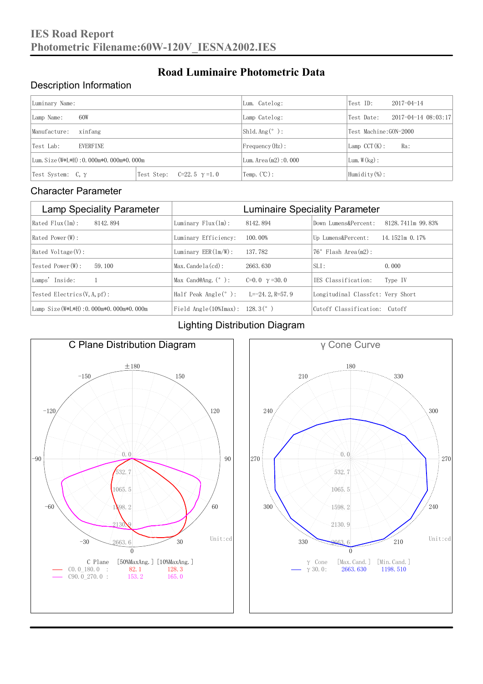#### Description Information

| Luminary Name:                          |                                     | Lum. Catelog:                | Test ID:                    | $2017 - 04 - 14$ |  |
|-----------------------------------------|-------------------------------------|------------------------------|-----------------------------|------------------|--|
| 60W<br>Lamp Name:                       | Lamp Catelog:                       | Test Date:                   | $2017 - 04 - 14$ $08:03:17$ |                  |  |
| Manufacture:<br>xinfang                 |                                     | Shld. $Ang (°)$ :            | Test Machine: GON-2000      |                  |  |
| <b>EVERFINE</b><br>Test Lab:            |                                     | $Frequency(Hz)$ :            | $Lamp$ CCT(K):              | Ra:              |  |
| Lum. Size (W*L*H): 0.000m*0.000m*0.000m |                                     | Lum. $Area(m2):0.000$        | Lum. $W(kg)$ :              |                  |  |
| Test System: $C, \gamma$                | Test Step:<br>$C=22.5$ $\gamma=1.0$ | $\text{Temp.} (\text{°C})$ : | Humidity $(\%)$ :           |                  |  |

**Road Luminaire Photometric Data**

#### Character Parameter

| <b>Lamp Speciality Parameter</b>       | <b>Luminaire Speciality Parameter</b>                              |                      |                                   |                   |  |
|----------------------------------------|--------------------------------------------------------------------|----------------------|-----------------------------------|-------------------|--|
| Rated Flux(1m):<br>8142, 894           | Luminary $Flux(ln)$ :                                              | 8142, 894            | Down Lumens&Percent:              | 8128.7411m 99.83% |  |
| Rated Power(W):                        | Luminary Efficiency:                                               | 100.00%              | Up Lumens&Percent:                | 14.1521m 0.17%    |  |
| Rated Voltage (V):                     | Luminary $EER(\ln/W)$ :                                            | 137, 782             | $76°$ Flash Area $(m2)$ :         |                   |  |
| Tested Power(W):<br>59.100             | $Max. Candela(cd)$ :                                               | 2663, 630            | $SLI$ :                           | 0.000             |  |
| Lamps' Inside:                         | Max Cand@Ang. $(°)$ :                                              | C=0.0 $\gamma$ =30.0 | TES Classification:               | Type IV           |  |
| Tested Electrics $(V, A, pf)$ :        | Half Peak Angle $(°)$ :                                            | $L=-24.2$ , R=57.9   | Longitudinal Classfct: Very Short |                   |  |
| Lamp Size(W*L*H): 0.000m*0.000m*0.000m | Field Angle $(10\text{\%} \text{Im} \text{ax})$ : 128.3 $(^\circ)$ |                      | Cutoff Classification: Cutoff     |                   |  |

#### Lighting Distribution Diagram



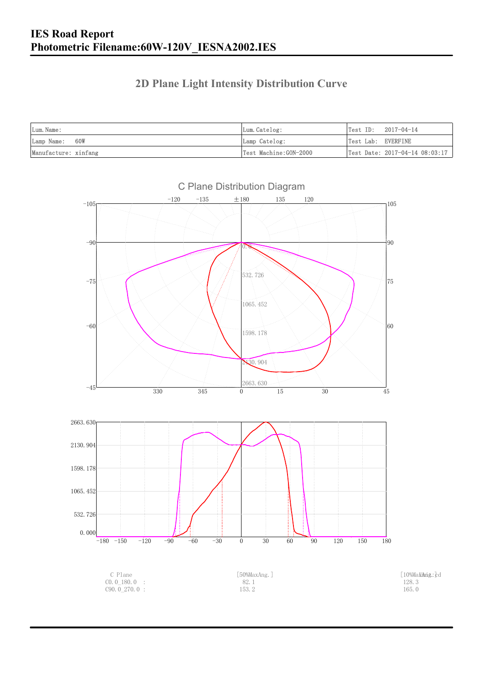### **2D Plane Light Intensity Distribution Curve**

| Lum. Name:           | Lum.Catelog:          | $Test ID: 2017-04-14$          |
|----------------------|-----------------------|--------------------------------|
| Lamp Name: 60W       | Lamp Catelog:         | Test Lab: EVERFINE             |
| Manufacture: xinfang | Test Machine:GON-2000 | Test Date: 2017-04-14 08:03:17 |

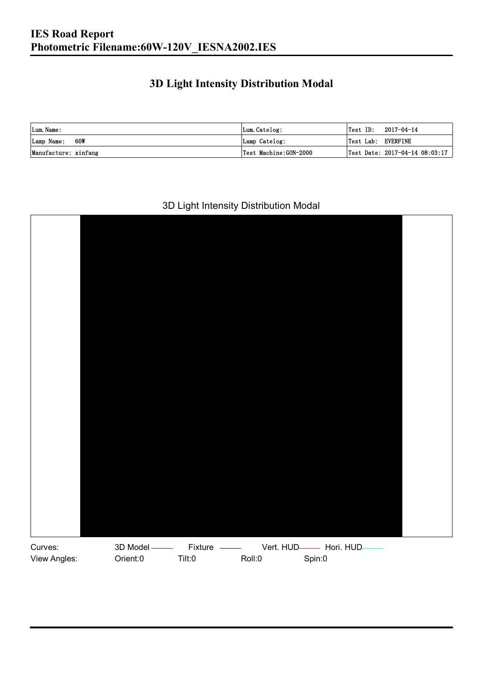### **3D Light Intensity Distribution Modal**

| Lum. Name:           | Lum.Catelog:          |                    | $\textsf{Test ID:} \quad 2017-04-14$ |
|----------------------|-----------------------|--------------------|--------------------------------------|
| Lamp Name: 60W       | Lamp Catelog:         | Test Lab: EVERFINE |                                      |
| Manufacture: xinfang | Test Machine:GON-2000 |                    | Test Date: 2017-04-14 08:03:17       |

#### 3D Light Intensity Distribution Modal

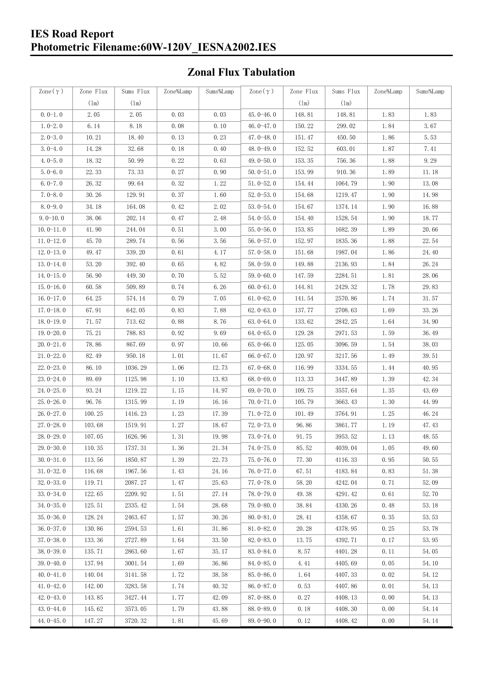## **Zonal Flux Tabulation**

| Zone $(\gamma)$ | Zone Flux     | Sums Flux | Zone%Lamp | Sums%Lamp | Zone $(\gamma)$ | Zone Flux | Sums Flux | Zone%Lamp | Sums%Lamp |
|-----------------|---------------|-----------|-----------|-----------|-----------------|-----------|-----------|-----------|-----------|
|                 | $(\text{lm})$ | (1m)      |           |           |                 | (1m)      | (1m)      |           |           |
| $0.0-1.0$       | 2.05          | 2.05      | 0.03      | 0.03      | $45,0-46,0$     | 148.81    | 148.81    | 1.83      | 1.83      |
| $1.0 - 2.0$     | 6.14          | 8.18      | 0.08      | 0.10      | 46.0-47.0       | 150.22    | 299.02    | 1.84      | 3.67      |
| $2.0 - 3.0$     | 10.21         | 18.40     | 0.13      | 0.23      | 47.0-48.0       | 151.47    | 450.50    | 1.86      | 5.53      |
| $3.0 - 4.0$     | 14.28         | 32.68     | 0.18      | 0.40      | $48.0 - 49.0$   | 152.52    | 603.01    | 1.87      | 7.41      |
| $4.0 - 5.0$     | 18.32         | 50.99     | 0.22      | 0.63      | $49.0 - 50.0$   | 153.35    | 756.36    | 1.88      | 9.29      |
| $5.0 - 6.0$     | 22.33         | 73.33     | 0.27      | 0.90      | $50.0 - 51.0$   | 153.99    | 910.36    | 1.89      | 11.18     |
| $6.0 - 7.0$     | 26.32         | 99.64     | 0.32      | 1.22      | $51.0 - 52.0$   | 154.44    | 1064.79   | 1.90      | 13.08     |
| $7.0 - 8.0$     | 30.26         | 129.91    | 0.37      | 1.60      | $52.0 - 53.0$   | 154.68    | 1219.47   | 1.90      | 14.98     |
| $8.0 - 9.0$     | 34.18         | 164.08    | 0.42      | 2.02      | $53.0 - 54.0$   | 154.67    | 1374.14   | 1.90      | 16.88     |
| $9.0 - 10.0$    | 38.06         | 202.14    | 0.47      | 2.48      | $54.0 - 55.0$   | 154.40    | 1528.54   | 1.90      | 18.77     |
| $10.0 - 11.0$   | 41.90         | 244.04    | 0.51      | 3.00      | $55.0 - 56.0$   | 153.85    | 1682.39   | 1.89      | 20.66     |
| $11.0 - 12.0$   | 45.70         | 289.74    | 0.56      | 3.56      | $56.0 - 57.0$   | 152.97    | 1835.36   | 1.88      | 22.54     |
| $12.0 - 13.0$   | 49.47         | 339.20    | 0.61      | 4.17      | $57.0 - 58.0$   | 151.68    | 1987.04   | 1.86      | 24.40     |
| $13.0 - 14.0$   | 53.20         | 392.40    | 0.65      | 4.82      | $58.0 - 59.0$   | 149.88    | 2136.93   | 1.84      | 26.24     |
| $14.0 - 15.0$   | 56.90         | 449.30    | 0.70      | 5.52      | $59.0 - 60.0$   | 147.59    | 2284.51   | 1.81      | 28.06     |
| $15.0 - 16.0$   | 60.58         | 509.89    | 0.74      | 6.26      | $60.0 - 61.0$   | 144.81    | 2429.32   | 1.78      | 29.83     |
| $16.0 - 17.0$   | 64.25         | 574.14    | 0.79      | 7.05      | $61.0 - 62.0$   | 141.54    | 2570.86   | 1.74      | 31.57     |
| $17.0 - 18.0$   | 67.91         | 642.05    | 0.83      | 7.88      | $62.0 - 63.0$   | 137.77    | 2708.63   | 1.69      | 33.26     |
| $18.0 - 19.0$   | 71.57         | 713.62    | 0.88      | 8.76      | $63.0 - 64.0$   | 133.62    | 2842.25   | 1.64      | 34.90     |
| $19.0 - 20.0$   | 75.21         | 788.83    | 0.92      | 9.69      | 64.0-65.0       | 129.28    | 2971.53   | 1.59      | 36.49     |
| $20.0 - 21.0$   | 78.86         | 867.69    | 0.97      | 10.66     | $65.0 - 66.0$   | 125.05    | 3096.59   | 1.54      | 38.03     |
| $21.0 - 22.0$   | 82.49         | 950.18    | 1.01      | 11.67     | 66.0 $-67.0$    | 120.97    | 3217.56   | 1.49      | 39.51     |
| $22.0 - 23.0$   | 86.10         | 1036.29   | 1.06      | 12.73     | $67.0 - 68.0$   | 116.99    | 3334.55   | 1.44      | 40.95     |
| $23.0 - 24.0$   | 89.69         | 1125.98   | 1.10      | 13.83     | $68.0 - 69.0$   | 113.33    | 3447.89   | 1.39      | 42.34     |
| $24.0 - 25.0$   | 93.24         | 1219.22   | 1.15      | 14.97     | 69.0 $-70.0$    | 109.75    | 3557.64   | 1.35      | 43.69     |
| $25.0 - 26.0$   | 96.76         | 1315.99   | 1.19      | 16.16     | $70.0 - 71.0$   | 105.79    | 3663.43   | 1.30      | 44.99     |
| $26.0 - 27.0$   | 100.25        | 1416.23   | 1.23      | 17.39     | $71.0 - 72.0$   | 101.49    | 3764.91   | 1.25      | 46.24     |
| $27.0 - 28.0$   | 103.68        | 1519.91   | 1.27      | 18.67     | $72.0 - 73.0$   | 96.86     | 3861.77   | 1.19      | 47.43     |
| $28.0 - 29.0$   | 107.05        | 1626.96   | 1.31      | 19.98     | 73.0-74.0       | 91.75     | 3953.52   | 1.13      | 48.55     |
| $29.0 - 30.0$   | 110.35        | 1737.31   | 1.36      | 21.34     | 74.0-75.0       | 85.52     | 4039.04   | 1.05      | 49.60     |
| $30.0 - 31.0$   | 113.56        | 1850.87   | 1.39      | 22.73     | $75.0 - 76.0$   | 77.30     | 4116.33   | 0.95      | 50.55     |
| $31.0 - 32.0$   | 116.68        | 1967.56   | 1.43      | 24.16     | $76.0 - 77.0$   | 67.51     | 4183.84   | 0.83      | 51.38     |
| $32.0 - 33.0$   | 119.71        | 2087.27   | 1.47      | 25.63     | $77.0 - 78.0$   | 58.20     | 4242.04   | 0.71      | 52.09     |
| $33.0 - 34.0$   | 122.65        | 2209.92   | 1.51      | 27.14     | $78.0 - 79.0$   | 49.38     | 4291.42   | 0.61      | 52.70     |
| $34.0 - 35.0$   | 125.51        | 2335.42   | 1.54      | 28.68     | 79.0-80.0       | 38.84     | 4330.26   | 0.48      | 53.18     |
| $35.0 - 36.0$   | 128.24        | 2463.67   | 1.57      | 30.26     | $80.0 - 81.0$   | 28.41     | 4358.67   | 0.35      | 53.53     |
| $36.0 - 37.0$   | 130.86        | 2594.53   | 1.61      | 31.86     | $81.0 - 82.0$   | 20.28     | 4378.95   | 0.25      | 53.78     |
| $37.0 - 38.0$   | 133.36        | 2727.89   | 1.64      | 33.50     | $82.0 - 83.0$   | 13.75     | 4392.71   | 0.17      | 53.95     |
| $38.0 - 39.0$   | 135.71        | 2863.60   | 1.67      | 35.17     | 83.0-84.0       | 8.57      | 4401.28   | 0.11      | 54.05     |
| $39.0 - 40.0$   | 137.94        | 3001.54   | 1.69      | 36.86     | 84.0-85.0       | 4.41      | 4405.69   | 0.05      | 54.10     |
| $40.0 - 41.0$   | 140.04        | 3141.58   | 1.72      | 38.58     | 85.0-86.0       | 1.64      | 4407.33   | 0.02      | 54.12     |
| $41.0 - 42.0$   | 142.00        | 3283.58   | 1.74      | 40.32     | 86.0-87.0       | 0.53      | 4407.86   | 0.01      | 54.13     |
| $42.0 - 43.0$   | 143.85        | 3427.44   | 1.77      | 42.09     | $87.0 - 88.0$   | 0.27      | 4408.13   | 0.00      | 54.13     |
| $43.0 - 44.0$   | 145.62        | 3573.05   | 1.79      | 43.88     | 88.0-89.0       | 0.18      | 4408.30   | 0.00      | 54.14     |
| $44.0 - 45.0$   | 147.27        | 3720.32   | 1.81      | 45.69     | 89.0-90.0       | 0.12      | 4408.42   | 0.00      | 54.14     |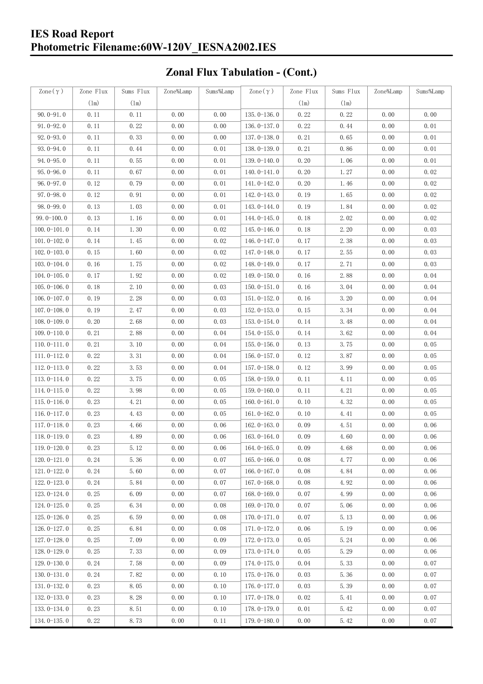# **Zonal Flux Tabulation - (Cont.)**

| Zone $(\gamma)$ | Zone Flux | Sums Flux | Zone%Lamp | Sums%Lamp | $\mathrm{Zone}\,(\,\gamma\,)$ | Zone Flux | Sums Flux | Zone%Lamp | Sums%Lamp |
|-----------------|-----------|-----------|-----------|-----------|-------------------------------|-----------|-----------|-----------|-----------|
|                 | (1m)      | (1m)      |           |           |                               | (1m)      | (1m)      |           |           |
| $90.0 - 91.0$   | 0.11      | 0.11      | 0.00      | 0.00      | $135.0 - 136.0$               | 0.22      | 0.22      | 0.00      | 0.00      |
| $91.0 - 92.0$   | 0.11      | 0.22      | 0.00      | 0.00      | $136.0 - 137.0$               | 0.22      | 0.44      | 0.00      | 0.01      |
| $92.0 - 93.0$   | 0.11      | 0.33      | 0.00      | 0.00      | 137.0-138.0                   | 0.21      | 0.65      | 0.00      | 0.01      |
| $93.0 - 94.0$   | 0.11      | 0.44      | 0.00      | 0.01      | $138.0 - 139.0$               | 0.21      | 0.86      | 0.00      | 0.01      |
| 94.0-95.0       | 0.11      | 0.55      | 0.00      | 0.01      | 139.0-140.0                   | 0.20      | 1.06      | 0.00      | 0.01      |
| $95.0 - 96.0$   | 0.11      | 0.67      | 0.00      | 0.01      | $140.0 - 141.0$               | 0.20      | 1.27      | 0.00      | 0.02      |
| $96.0 - 97.0$   | 0.12      | 0.79      | 0.00      | 0.01      | $141.0 - 142.0$               | 0.20      | 1.46      | 0.00      | 0.02      |
| $97.0 - 98.0$   | 0.12      | 0.91      | 0.00      | 0.01      | 142.0-143.0                   | 0.19      | 1.65      | 0.00      | 0.02      |
| $98.0 - 99.0$   | 0.13      | 1.03      | 0.00      | 0.01      | $143.0 - 144.0$               | 0.19      | 1.84      | 0.00      | 0.02      |
| $99.0 - 100.0$  | 0.13      | 1.16      | 0.00      | 0.01      | 144.0-145.0                   | 0.18      | 2.02      | 0.00      | 0.02      |
| $100.0 - 101.0$ | 0.14      | 1.30      | 0.00      | 0.02      | $145.0 - 146.0$               | 0.18      | 2.20      | 0.00      | 0.03      |
| $101.0 - 102.0$ | 0.14      | 1.45      | 0.00      | 0.02      | $146.0 - 147.0$               | 0.17      | 2.38      | 0.00      | 0.03      |
| $102.0 - 103.0$ | 0.15      | 1.60      | 0.00      | 0.02      | 147.0-148.0                   | 0.17      | 2.55      | 0.00      | 0.03      |
| $103.0 - 104.0$ | 0.16      | 1.75      | 0.00      | 0.02      | 148.0-149.0                   | 0.17      | 2.71      | 0.00      | 0.03      |
| $104.0 - 105.0$ | 0.17      | 1.92      | 0.00      | 0.02      | $149.0 - 150.0$               | 0.16      | 2.88      | 0.00      | 0.04      |
| $105.0 - 106.0$ | 0.18      | 2.10      | 0.00      | 0.03      | $150.0 - 151.0$               | 0.16      | 3.04      | 0.00      | 0.04      |
| $106.0 - 107.0$ | 0.19      | 2.28      | 0.00      | 0.03      | $151.0 - 152.0$               | 0.16      | 3.20      | 0.00      | 0.04      |
| $107.0 - 108.0$ | 0.19      | 2.47      | 0.00      | 0.03      | $152.0 - 153.0$               | 0.15      | 3.34      | 0.00      | 0.04      |
| $108.0 - 109.0$ | 0.20      | 2.68      | 0.00      | 0.03      | 153.0-154.0                   | 0.14      | 3.48      | 0.00      | 0.04      |
| $109.0 - 110.0$ | 0.21      | 2.88      | 0.00      | 0.04      | $154.0 - 155.0$               | 0.14      | 3.62      | 0.00      | 0.04      |
| $110.0 - 111.0$ | 0.21      | 3.10      | 0.00      | 0.04      | $155.0 - 156.0$               | 0.13      | 3.75      | 0.00      | 0.05      |
| $111.0 - 112.0$ | 0.22      | 3.31      | 0.00      | 0.04      | $156.0 - 157.0$               | 0.12      | 3.87      | $0.00$    | 0.05      |
| $112.0 - 113.0$ | 0.22      | 3.53      | 0.00      | 0.04      | $157.0 - 158.0$               | 0.12      | 3.99      | 0.00      | 0.05      |
| $113.0 - 114.0$ | 0.22      | 3.75      | 0.00      | 0.05      | $158.0 - 159.0$               | 0.11      | 4.11      | 0.00      | 0.05      |
| $114.0 - 115.0$ | 0.22      | 3.98      | 0.00      | 0.05      | $159.0 - 160.0$               | 0.11      | 4.21      | 0.00      | 0.05      |
| $115.0 - 116.0$ | 0.23      | 4.21      | 0.00      | 0.05      | $160.0 - 161.0$               | 0.10      | 4.32      | 0.00      | 0.05      |
| $116.0 - 117.0$ | 0.23      | 4.43      | 0.00      | 0.05      | $161.0 - 162.0$               | 0.10      | 4.41      | 0.00      | 0.05      |
| $117.0 - 118.0$ | 0.23      | 4.66      | 0.00      | 0.06      | $162.0 - 163.0$               | 0.09      | 4.51      | 0.00      | 0.06      |
| $118.0 - 119.0$ | 0.23      | 4.89      | 0.00      | 0.06      | $163.0 - 164.0$               | 0.09      | 4.60      | 0.00      | 0.06      |
| 119.0-120.0     | 0.23      | 5.12      | 0.00      | 0.06      | $164.0 - 165.0$               | 0.09      | 4.68      | 0.00      | 0.06      |
| $120.0 - 121.0$ | 0.24      | 5.36      | 0.00      | 0.07      | $165.0 - 166.0$               | 0.08      | 4.77      | 0.00      | 0.06      |
| $121.0 - 122.0$ | 0.24      | 5.60      | 0.00      | 0.07      | $166.0 - 167.0$               | 0.08      | 4.84      | 0.00      | 0.06      |
| $122.0 - 123.0$ | 0.24      | 5.84      | 0.00      | 0.07      | $167.0 - 168.0$               | 0.08      | 4.92      | 0.00      | 0.06      |
| $123.0 - 124.0$ | 0.25      | 6.09      | 0.00      | 0.07      | $168.0 - 169.0$               | 0.07      | 4.99      | 0.00      | 0.06      |
| $124.0 - 125.0$ | 0.25      | 6.34      | 0.00      | 0.08      | $169.0 - 170.0$               | 0.07      | 5.06      | 0.00      | 0.06      |
| $125.0 - 126.0$ | 0.25      | 6.59      | 0.00      | 0.08      | $170.0 - 171.0$               | 0.07      | 5.13      | 0.00      | 0.06      |
| $126.0 - 127.0$ | 0.25      | 6.84      | 0.00      | 0.08      | 171.0-172.0                   | 0.06      | 5.19      | 0.00      | 0.06      |
| $127.0 - 128.0$ | 0.25      | 7.09      | 0.00      | 0.09      | $172.0 - 173.0$               | 0.05      | 5.24      | 0.00      | 0.06      |
| $128.0 - 129.0$ | 0.25      | 7.33      | 0.00      | 0.09      | $173.0 - 174.0$               | 0.05      | 5.29      | 0.00      | 0.06      |
| $129.0 - 130.0$ | 0.24      | 7.58      | 0.00      | 0.09      | $174.0 - 175.0$               | 0.04      | 5.33      | 0.00      | 0.07      |
| $130.0 - 131.0$ | 0.24      | 7.82      | 0.00      | 0.10      | $175.0 - 176.0$               | 0.03      | 5.36      | 0.00      | 0.07      |
| $131.0 - 132.0$ | 0.23      | 8.05      | 0.00      | 0.10      | 176.0-177.0                   | 0.03      | 5.39      | 0.00      | 0.07      |
| $132.0 - 133.0$ | 0.23      | 8.28      | 0.00      | 0.10      | $177.0 - 178.0$               | 0.02      | 5.41      | 0.00      | 0.07      |
| 133.0-134.0     | 0.23      | 8.51      | 0.00      | 0.10      | 178.0-179.0                   | 0.01      | 5.42      | 0.00      | 0.07      |
| $134.0 - 135.0$ | 0.22      | 8.73      | 0.00      | 0.11      | $179.0 - 180.0$               | 0.00      | 5.42      | 0.00      | 0.07      |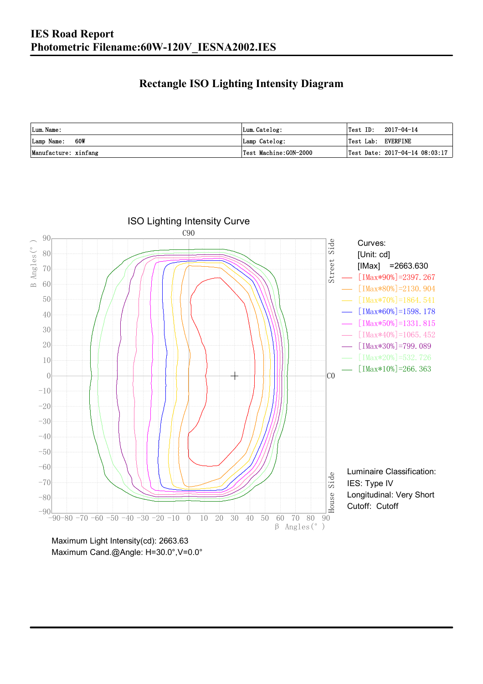### **Rectangle ISO Lighting Intensity Diagram**

| Lum. Name:           | Lum.Catelog:          | $\textsf{Test ID:} \quad 2017-04-14$ |
|----------------------|-----------------------|--------------------------------------|
| 60W<br>Lamp Name:    | Lamp Catelog:         | Test Lab: EVERFINE                   |
| Manufacture: xinfang | Test Machine:GON-2000 | Test Date: $2017-04-14$ $08:03:17$   |



Maximum Cand.@Angle: H=30.0°,V=0.0°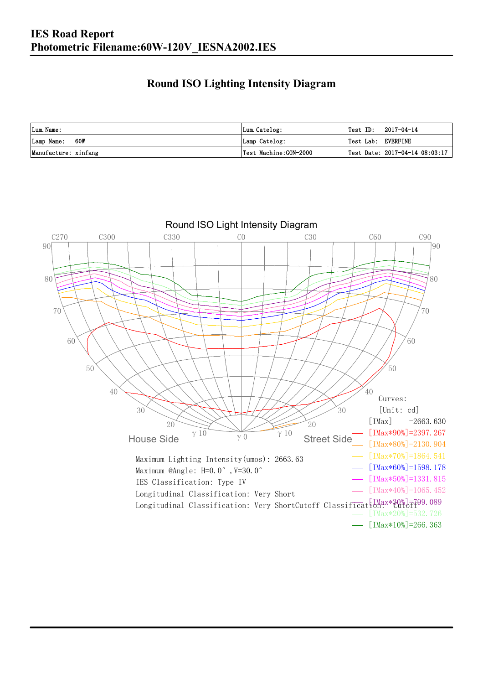### **Round ISO Lighting Intensity Diagram**

| Lum. Name:           | Lum.Catelog:          | Test ID:<br>2017-04-14             |
|----------------------|-----------------------|------------------------------------|
| 60W<br>Lamp Name:    | Lamp Catelog:         | Test Lab: EVERFINE                 |
| Manufacture: xinfang | Test Machine:GON-2000 | Test Date: $2017-04-14$ $08:03:17$ |

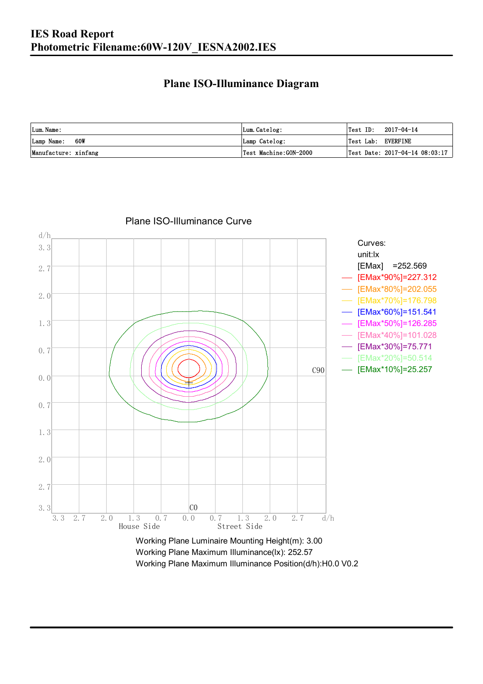#### **Plane ISO-Illuminance Diagram**

| Lum. Name:           | Lum.Catelog:          | $\textsf{Test ID:} \quad 2017-04-14$           |
|----------------------|-----------------------|------------------------------------------------|
| 60W<br>Lamp Name:    | Lamp Catelog:         | Test Lab: EVERFINE                             |
| Manufacture: xinfang | Test Machine:GON-2000 | $\vert$ Test Date: 2017-04-14 08:03:17 $\vert$ |



Plane ISO-Illuminance Curve

Working Plane Maximum Illuminance(lx): 252.57 Working Plane Maximum Illuminance Position(d/h):H0.0 V0.2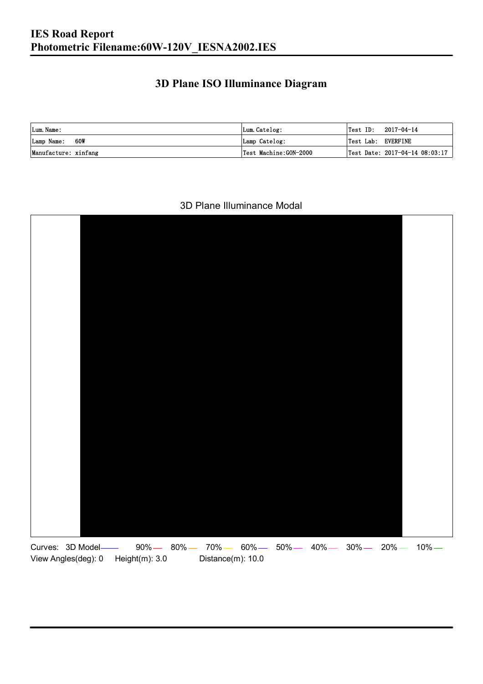### **3D Plane ISO Illuminance Diagram**

| Lum. Name:           | Lum.Catelog:          |                    | $\textsf{Test ID:} \quad 2017-04-14$ |
|----------------------|-----------------------|--------------------|--------------------------------------|
| Lamp Name: 60W       | Lamp Catelog:         | Test Lab: EVERFINE |                                      |
| Manufacture: xinfang | Test Machine:GON-2000 |                    | Test Date: 2017-04-14 08:03:17       |

#### 3D Plane Illuminance Modal

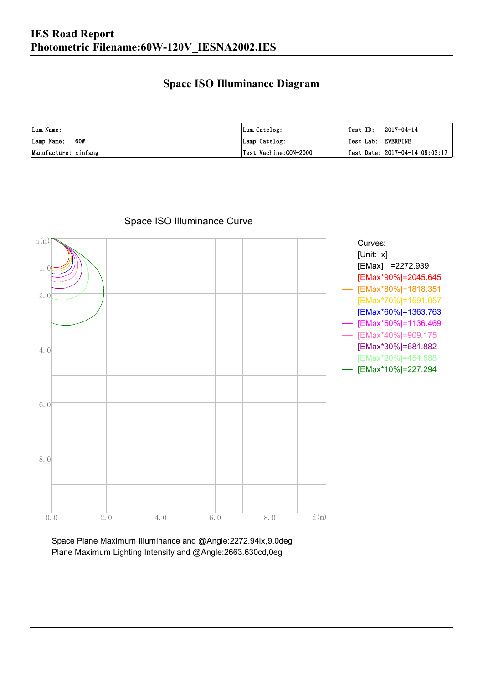### **Space ISO Illuminance Diagram**

| Lum. Name:           | Lum.Catelog:          | Test ID:<br>2017-04-14                         |
|----------------------|-----------------------|------------------------------------------------|
| 60W<br>Lamp Name:    | Lamp Catelog:         | Test Lab: EVERFINE                             |
| Manufacture: xinfang | Test Machine:GON-2000 | $\vert$ Test Date: 2017-04-14 08:03:17 $\vert$ |



### Space ISO Illuminance Curve

Space Plane Maximum Illuminance and @Angle:2272.94lx,9.0deg Plane Maximum Lighting Intensity and @Angle:2663.630cd,0eg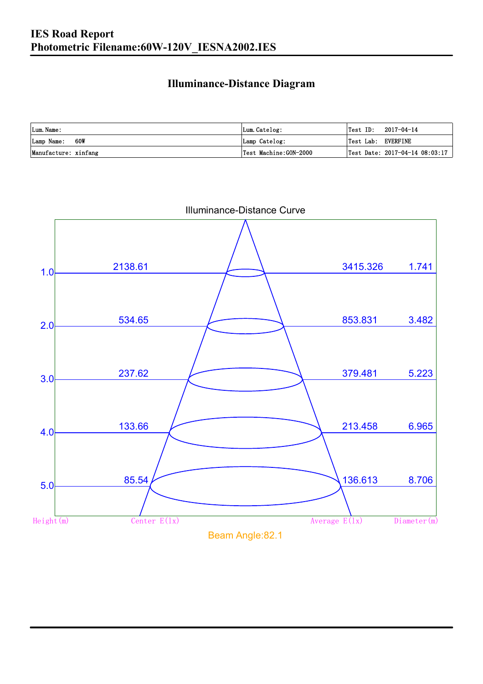### **Illuminance-Distance Diagram**

| Lum. Name:           | Lum.Catelog:          |                    | $\textsf{Test ID:} \quad 2017-04-14$ |
|----------------------|-----------------------|--------------------|--------------------------------------|
| Lamp Name: 60W       | Lamp Catelog:         | Test Lab: EVERFINE |                                      |
| Manufacture: xinfang | Test Machine:GON-2000 |                    | Test Date: 2017-04-14 08:03:17       |



Illuminance-Distance Curve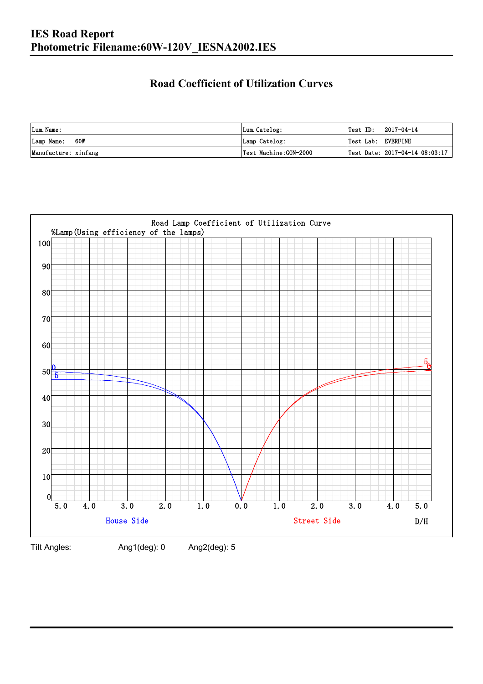### **Road Coefficient of Utilization Curves**

| Lum. Name:           | Lum.Catelog:          | Test ID:           | 2017-04-14                     |
|----------------------|-----------------------|--------------------|--------------------------------|
| Lamp Name: 60W       | Lamp Catelog:         | Test Lab: EVERFINE |                                |
| Manufacture: xinfang | Test Machine:GON-2000 |                    | Test Date: 2017-04-14 08:03:17 |



Tilt Angles: Ang1(deg): 0 Ang2(deg): 5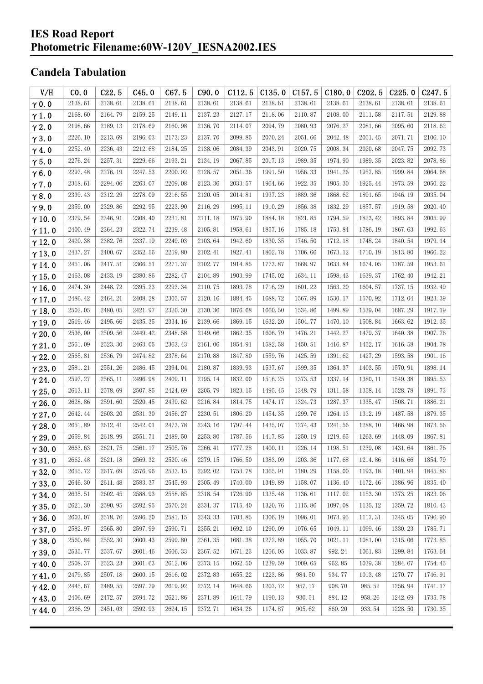## **Candela Tabulation**

| V/H           | CO.0    | C22.5   | C45.0   | C67.5   | C90.0   | C112.5  | C135.0  | C157.5  | C180.0  | C202.5  | C225.0  | C <sub>247.5</sub> |
|---------------|---------|---------|---------|---------|---------|---------|---------|---------|---------|---------|---------|--------------------|
| $\gamma$ 0.0  | 2138.61 | 2138.61 | 2138.61 | 2138.61 | 2138.61 | 2138.61 | 2138.61 | 2138.61 | 2138.61 | 2138.61 | 2138.61 | 2138.61            |
| $\gamma$ 1.0  | 2168.60 | 2164.79 | 2159.25 | 2149.11 | 2137.23 | 2127.17 | 2118.06 | 2110.87 | 2108.00 | 2111.58 | 2117.51 | 2129.88            |
| $\gamma$ 2.0  | 2198.66 | 2189.13 | 2178.69 | 2160.98 | 2136.70 | 2114.07 | 2094.79 | 2080.93 | 2076.27 | 2081.66 | 2095.60 | 2118.62            |
| $\gamma$ 3.0  | 2226.10 | 2213.69 | 2196.03 | 2173.23 | 2137.70 | 2099.85 | 2070.24 | 2051.66 | 2042.48 | 2051.45 | 2071.71 | 2106.10            |
| $\gamma$ 4.0  | 2252.40 | 2236.43 | 2212.68 | 2184.25 | 2138.06 | 2084.39 | 2043.91 | 2020.75 | 2008.34 | 2020.68 | 2047.75 | 2092.73            |
| $\gamma$ 5.0  | 2276.24 | 2257.31 | 2229.66 | 2193.21 | 2134.19 | 2067.85 | 2017.13 | 1989.35 | 1974.90 | 1989.35 | 2023.82 | 2078.86            |
| $\gamma$ 6.0  | 2297.48 | 2276.19 | 2247.53 | 2200.92 | 2128.57 | 2051.36 | 1991.50 | 1956.33 | 1941.26 | 1957.85 | 1999.84 | 2064.68            |
| $\gamma$ 7.0  | 2318.61 | 2294.06 | 2263.07 | 2209.08 | 2123.36 | 2033.57 | 1964.66 | 1922.35 | 1905.30 | 1925.44 | 1973.59 | 2050.22            |
| $\gamma$ 8.0  | 2339.43 | 2312.29 | 2278.09 | 2216.55 | 2120.05 | 2014.81 | 1937.23 | 1889.36 | 1868.62 | 1891.65 | 1946.19 | 2035.04            |
| $\gamma$ 9.0  | 2359.00 | 2329.86 | 2292.95 | 2223.90 | 2116.29 | 1995.11 | 1910.29 | 1856.38 | 1832.29 | 1857.57 | 1919.58 | 2020.40            |
| $\gamma$ 10.0 | 2379.54 | 2346.91 | 2308.40 | 2231.81 | 2111.18 | 1975.90 | 1884.18 | 1821.85 | 1794.59 | 1823.42 | 1893.84 | 2005.99            |
| $\gamma$ 11.0 | 2400.49 | 2364.23 | 2322.74 | 2239.48 | 2105.81 | 1958.61 | 1857.16 | 1785.18 | 1753.84 | 1786.19 | 1867.63 | 1992.63            |
| $\gamma$ 12.0 | 2420.38 | 2382.76 | 2337.19 | 2249.03 | 2103.64 | 1942.60 | 1830.35 | 1746.50 | 1712.18 | 1748.24 | 1840.54 | 1979.14            |
| $\gamma$ 13.0 | 2437.27 | 2400.67 | 2352.56 | 2259.80 | 2102.41 | 1927.41 | 1802.78 | 1706.66 | 1673.12 | 1710.19 | 1813.80 | 1966.22            |
| $\gamma$ 14.0 | 2451.06 | 2417.51 | 2366.51 | 2271.37 | 2102.77 | 1914.85 | 1773.87 | 1668.97 | 1633.84 | 1674.05 | 1787.59 | 1953.61            |
| $\gamma$ 15.0 | 2463.08 | 2433.19 | 2380.86 | 2282.47 | 2104.89 | 1903.99 | 1745.02 | 1634.11 | 1598.43 | 1639.37 | 1762.40 | 1942.21            |
| $\gamma$ 16.0 | 2474.30 | 2448.72 | 2395.23 | 2293.34 | 2110.75 | 1893.78 | 1716.29 | 1601.22 | 1563.20 | 1604.57 | 1737.15 | 1932.49            |
| $\gamma$ 17.0 | 2486.42 | 2464.21 | 2408.28 | 2305.57 | 2120.16 | 1884.45 | 1688.72 | 1567.89 | 1530.17 | 1570.92 | 1712.04 | 1923.39            |
| $\gamma$ 18.0 | 2502.05 | 2480.05 | 2421.97 | 2320.30 | 2130.36 | 1876.68 | 1660.50 | 1534.86 | 1499.89 | 1539.04 | 1687.29 | 1917.19            |
| $\gamma$ 19.0 | 2519.46 | 2495.66 | 2435.35 | 2334.16 | 2139.66 | 1869.15 | 1632.20 | 1504.77 | 1470.10 | 1508.84 | 1663.62 | 1912.35            |
| $\gamma$ 20.0 | 2536.00 | 2509.56 | 2449.42 | 2348.58 | 2149.66 | 1862.35 | 1606.79 | 1476.21 | 1442.27 | 1479.37 | 1640.38 | 1907.76            |
| $\gamma$ 21.0 | 2551.09 | 2523.30 | 2463.05 | 2363.43 | 2161.06 | 1854.91 | 1582.58 | 1450.51 | 1416.87 | 1452.17 | 1616.58 | 1904.78            |
| $\gamma$ 22.0 | 2565.81 | 2536.79 | 2474.82 | 2378.64 | 2170.88 | 1847.80 | 1559.76 | 1425.59 | 1391.62 | 1427.29 | 1593.58 | 1901.16            |
| $\gamma$ 23.0 | 2581.21 | 2551.26 | 2486.45 | 2394.04 | 2180.87 | 1839.93 | 1537.67 | 1399.35 | 1364.37 | 1403.55 | 1570.91 | 1898.14            |
| $\gamma$ 24.0 | 2597.27 | 2565.11 | 2496.98 | 2409.11 | 2195.14 | 1832.00 | 1516.25 | 1373.53 | 1337.14 | 1380.11 | 1549.38 | 1895.53            |
| $\gamma$ 25.0 | 2613.11 | 2578.69 | 2507.85 | 2424.69 | 2205.79 | 1823.15 | 1495.45 | 1348.79 | 1311.58 | 1358.14 | 1528.78 | 1891.73            |
| $\gamma$ 26.0 | 2628.86 | 2591.60 | 2520.45 | 2439.62 | 2216.84 | 1814.75 | 1474.17 | 1324.73 | 1287.37 | 1335.47 | 1508.71 | 1886.21            |
| $\gamma$ 27.0 | 2642.44 | 2603.20 | 2531.30 | 2456.27 | 2230.51 | 1806.20 | 1454.35 | 1299.76 | 1264.13 | 1312.19 | 1487.58 | 1879.35            |
| $\gamma$ 28.0 | 2651.89 | 2612.41 | 2542.01 | 2473.78 | 2243.16 | 1797.44 | 1435.07 | 1274.43 | 1241.56 | 1288.10 | 1466.98 | 1873.56            |
| $\gamma$ 29.0 | 2659.84 | 2618.99 | 2551.71 | 2489.50 | 2253.80 | 1787.56 | 1417.85 | 1250.19 | 1219.65 | 1263.69 | 1448.09 | 1867.81            |
| $\gamma$ 30.0 | 2663.63 | 2621.75 | 2561.17 | 2505.76 | 2266.41 | 1777.28 | 1400.11 | 1226.14 | 1198.51 | 1239.08 | 1431.64 | 1861.76            |
| $\gamma$ 31.0 | 2662.48 | 2621.18 | 2569.32 | 2520.46 | 2279.15 | 1766.50 | 1383.09 | 1203.36 | 1177.68 | 1214.86 | 1416.66 | 1854.79            |
| $\gamma$ 32.0 | 2655.72 | 2617.69 | 2576.96 | 2533.15 | 2292.02 | 1753.78 | 1365.91 | 1180.29 | 1158.00 | 1193.18 | 1401.94 | 1845.86            |
| $\gamma$ 33.0 | 2646.30 | 2611.48 | 2583.37 | 2545.93 | 2305.49 | 1740.00 | 1349.89 | 1158.07 | 1136.40 | 1172.46 | 1386.96 | 1835.40            |
| $\gamma$ 34.0 | 2635.51 | 2602.45 | 2588.93 | 2558.85 | 2318.54 | 1726.90 | 1335.48 | 1136.61 | 1117.02 | 1153.30 | 1373.25 | 1823.06            |
| $\gamma$ 35.0 | 2621.30 | 2590.95 | 2592.95 | 2570.24 | 2331.37 | 1715.40 | 1320.76 | 1115.86 | 1097.08 | 1135.12 | 1359.72 | 1810.43            |
| $\gamma$ 36.0 | 2603.07 | 2578.76 | 2596.20 | 2581.15 | 2343.33 | 1703.85 | 1306.19 | 1096.01 | 1073.95 | 1117.31 | 1345.05 | 1796.90            |
| $\gamma$ 37.0 | 2582.97 | 2565.80 | 2597.99 | 2590.71 | 2355.21 | 1692.10 | 1290.09 | 1076.65 | 1049.11 | 1099.46 | 1330.23 | 1785.71            |
| $\gamma$ 38.0 | 2560.84 | 2552.30 | 2600.43 | 2599.80 | 2361.35 | 1681.38 | 1272.89 | 1055.70 | 1021.11 | 1081.00 | 1315.06 | 1773.85            |
| $\gamma$ 39.0 | 2535.77 | 2537.67 | 2601.46 | 2606.33 | 2367.52 | 1671.23 | 1256.05 | 1033.87 | 992.24  | 1061.83 | 1299.84 | 1763.64            |
| $\gamma$ 40.0 | 2508.37 | 2523.23 | 2601.63 | 2612.06 | 2373.15 | 1662.50 | 1239.59 | 1009.65 | 962.85  | 1039.38 | 1284.67 | 1754.45            |
| $\gamma$ 41.0 | 2479.85 | 2507.18 | 2600.15 | 2616.02 | 2372.83 | 1655.22 | 1223.86 | 984.50  | 934.77  | 1013.48 | 1270.77 | 1746.91            |
| $\gamma$ 42.0 | 2445.67 | 2489.55 | 2597.79 | 2619.92 | 2372.14 | 1648.66 | 1207.72 | 957.17  | 908.70  | 985.52  | 1256.94 | 1741.17            |
| $\gamma$ 43.0 | 2406.69 | 2472.57 | 2594.72 | 2621.86 | 2371.89 | 1641.79 | 1190.13 | 930.51  | 884.12  | 958.26  | 1242.69 | 1735.78            |
| $\gamma$ 44.0 | 2366.29 | 2451.03 | 2592.93 | 2624.15 | 2372.71 | 1634.26 | 1174.87 | 905.62  | 860.20  | 933.54  | 1228.50 | 1730.35            |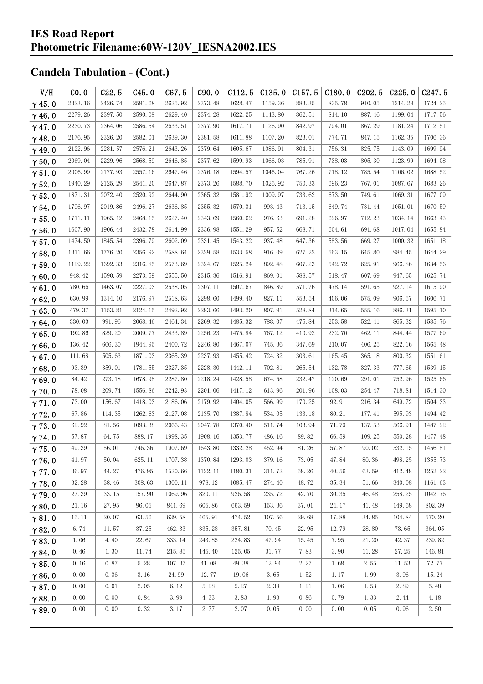| V/H           | CO.0    | C22.5   | C45.0   | C67.5   | C90.0   | C112.5  | C135.0  | C157.5 | C180.0 | C <sub>202.5</sub> | C225.0  | C <sub>247.5</sub> |
|---------------|---------|---------|---------|---------|---------|---------|---------|--------|--------|--------------------|---------|--------------------|
| $\gamma$ 45.0 | 2323.16 | 2426.74 | 2591.68 | 2625.92 | 2373.48 | 1628.47 | 1159.36 | 883.35 | 835.78 | 910.05             | 1214.28 | 1724.25            |
| $\gamma$ 46.0 | 2279.26 | 2397.50 | 2590.08 | 2629.40 | 2374.28 | 1622.25 | 1143.80 | 862.51 | 814.10 | 887.46             | 1199.04 | 1717.56            |
| $\gamma$ 47.0 | 2230.73 | 2364.06 | 2586.54 | 2633.51 | 2377.90 | 1617.71 | 1126.90 | 842.97 | 794.01 | 867.29             | 1181.24 | 1712.51            |
| $\gamma$ 48.0 | 2176.95 | 2326.20 | 2582.01 | 2639.30 | 2381.58 | 1611.88 | 1107.20 | 823.01 | 774.71 | 847.15             | 1162.35 | 1706.36            |
| $\gamma$ 49.0 | 2122.96 | 2281.57 | 2576.21 | 2643.26 | 2379.64 | 1605.67 | 1086.91 | 804.31 | 756.31 | 825.75             | 1143.09 | 1699.94            |
| $\gamma$ 50.0 | 2069.04 | 2229.96 | 2568.59 | 2646.85 | 2377.62 | 1599.93 | 1066.03 | 785.91 | 738.03 | 805.30             | 1123.99 | 1694.08            |
| $\gamma$ 51.0 | 2006.99 | 2177.93 | 2557.16 | 2647.46 | 2376.18 | 1594.57 | 1046.04 | 767.26 | 718.12 | 785.54             | 1106.02 | 1688.52            |
| $\gamma$ 52.0 | 1940.29 | 2125.29 | 2541.20 | 2647.87 | 2373.26 | 1588.70 | 1026.92 | 750.33 | 696.23 | 767.01             | 1087.67 | 1683.26            |
| $\gamma$ 53.0 | 1871.31 | 2072.40 | 2520.92 | 2644.90 | 2365.32 | 1581.92 | 1009.97 | 733.62 | 673.50 | 749.61             | 1069.31 | 1677.09            |
| $\gamma$ 54.0 | 1796.97 | 2019.86 | 2496.27 | 2636.85 | 2355.32 | 1570.31 | 993.43  | 713.15 | 649.74 | 731.44             | 1051.01 | 1670.59            |
| $\gamma$ 55.0 | 1711.11 | 1965.12 | 2468.15 | 2627.40 | 2343.69 | 1560.62 | 976.63  | 691.28 | 626.97 | 712.23             | 1034.14 | 1663.43            |
| $\gamma$ 56.0 | 1607.90 | 1906.44 | 2432.78 | 2614.99 | 2336.98 | 1551.29 | 957.52  | 668.71 | 604.61 | 691.68             | 1017.04 | 1655.84            |
| $\gamma$ 57.0 | 1474.50 | 1845.54 | 2396.79 | 2602.09 | 2331.45 | 1543.22 | 937.48  | 647.36 | 583.56 | 669.27             | 1000.32 | 1651.18            |
| $\gamma$ 58.0 | 1311.66 | 1776.20 | 2356.92 | 2588.64 | 2329.58 | 1533.58 | 916.09  | 627.22 | 563.15 | 645.80             | 984.45  | 1644.29            |
| $\gamma$ 59.0 | 1129.22 | 1692.33 | 2316.85 | 2573.69 | 2324.67 | 1525.24 | 892.48  | 607.23 | 542.72 | 625.91             | 966.86  | 1634.56            |
| $\gamma$ 60.0 | 948.42  | 1590.59 | 2273.59 | 2555.50 | 2315.36 | 1516.91 | 869.01  | 588.57 | 518.47 | 607.69             | 947.65  | 1625.74            |
| $\gamma$ 61.0 | 780.66  | 1463.07 | 2227.03 | 2538.05 | 2307.11 | 1507.67 | 846.89  | 571.76 | 478.14 | 591.65             | 927.14  | 1615.90            |
| $\gamma$ 62.0 | 630.99  | 1314.10 | 2176.97 | 2518.63 | 2298.60 | 1499.40 | 827.11  | 553.54 | 406.06 | 575.09             | 906.57  | 1606.71            |
| $\gamma$ 63.0 | 479.37  | 1153.81 | 2124.15 | 2492.92 | 2283.66 | 1493.20 | 807.91  | 528.84 | 314.65 | 555.16             | 886.31  | 1595.10            |
| $\gamma$ 64.0 | 330.03  | 991.96  | 2068.46 | 2464.34 | 2269.32 | 1485.32 | 788.07  | 475.84 | 253.58 | 522.41             | 865.32  | 1585.76            |
| $\gamma$ 65.0 | 192.86  | 829.20  | 2009.77 | 2433.89 | 2256.23 | 1475.84 | 767.12  | 410.92 | 232.70 | 462.11             | 844.44  | 1577.69            |
| $\gamma$ 66.0 | 136.42  | 666.30  | 1944.95 | 2400.72 | 2246.80 | 1467.07 | 745.36  | 347.69 | 210.07 | 406.25             | 822.16  | 1565.48            |
| $\gamma$ 67.0 | 111.68  | 505.63  | 1871.03 | 2365.39 | 2237.93 | 1455.42 | 724.32  | 303.61 | 165.45 | 365.18             | 800.32  | 1551.61            |
| $\gamma$ 68.0 | 93.39   | 359.01  | 1781.55 | 2327.35 | 2228.30 | 1442.11 | 702.81  | 265.54 | 132.78 | 327.33             | 777.65  | 1539.15            |
| $\gamma$ 69.0 | 84.42   | 273.18  | 1678.98 | 2287.80 | 2218.24 | 1428.58 | 674.58  | 232.47 | 120.69 | 291.01             | 752.96  | 1525.66            |
| $\gamma$ 70.0 | 78.08   | 209.74  | 1556.86 | 2242.93 | 2201.06 | 1417.12 | 613.96  | 201.96 | 108.03 | 254.47             | 718.81  | 1514.30            |
| $\gamma$ 71.0 | 73.00   | 156.67  | 1418.03 | 2186.06 | 2179.92 | 1404.05 | 566.99  | 170.25 | 92.91  | 216.34             | 649.72  | 1504.33            |
| $\gamma$ 72.0 | 67.86   | 114.35  | 1262.63 | 2127.08 | 2135.70 | 1387.84 | 534.05  | 133.18 | 80.21  | 177.41             | 595.93  | 1494.42            |
| $\gamma$ 73.0 | 62.92   | 81.56   | 1093.38 | 2066.43 | 2047.78 | 1370.40 | 511.74  | 103.94 | 71.79  | 137.53             | 566.91  | 1487.22            |
| $\gamma$ 74.0 | 57.87   | 64.75   | 888.17  | 1998.35 | 1908.16 | 1353.77 | 486.16  | 89.82  | 66.59  | 109.25             | 550.28  | 1477.48            |
| $\gamma$ 75.0 | 49.39   | 56.01   | 746.36  | 1907.69 | 1643.80 | 1332.28 | 452.94  | 81.26  | 57.87  | 90.02              | 532.15  | 1456.81            |
| $\gamma$ 76.0 | 41.97   | 50.04   | 625.11  | 1707.38 | 1370.84 | 1293.03 | 379.16  | 73.05  | 47.84  | 80.36              | 498.25  | 1355.73            |
| $\gamma$ 77.0 | 36.97   | 44.27   | 476.95  | 1520.66 | 1122.11 | 1180.31 | 311.72  | 58.26  | 40.56  | 63.59              | 412.48  | 1252.22            |
| $\gamma$ 78.0 | 32.28   | 38.46   | 308.63  | 1300.11 | 978.12  | 1085.47 | 274.40  | 48.72  | 35.34  | 51.66              | 340.08  | 1161.63            |
| $\gamma$ 79.0 | 27.39   | 33.15   | 157.90  | 1069.96 | 820.11  | 926.58  | 235.72  | 42.70  | 30.35  | 46.48              | 258.25  | 1042.76            |
| $\gamma$ 80.0 | 21.16   | 27.95   | 96.05   | 841.69  | 605.86  | 663.59  | 153.36  | 37.01  | 24.17  | 41.48              | 149.68  | 802.39             |
| $\gamma$ 81.0 | 15.11   | 20.07   | 63.56   | 639.58  | 465.91  | 474.52  | 107.56  | 29.68  | 17.88  | 34.85              | 104.84  | 570.20             |
| $\gamma$ 82.0 | 6.74    | 11.57   | 37.25   | 462.33  | 335.28  | 357.81  | 70.45   | 22.95  | 12.79  | 28.80              | 73.65   | 364.05             |
| $\gamma$ 83.0 | 1.06    | 4.40    | 22.67   | 333.14  | 243.85  | 224.83  | 47.94   | 15.45  | 7.95   | 21.20              | 42.37   | 239.82             |
| $\gamma$ 84.0 | 0.46    | 1.30    | 11.74   | 215.85  | 145.40  | 125.05  | 31.77   | 7.83   | 3.90   | 11.28              | 27.25   | 146.81             |
| $\gamma$ 85.0 | 0.16    | 0.87    | 5.28    | 107.37  | 41.08   | 49.38   | 12.94   | 2.27   | 1.68   | 2.55               | 11.53   | 72.77              |
| $\gamma$ 86.0 | 0.00    | 0.36    | 3.16    | 24.99   | 12.77   | 19.06   | 3.65    | 1.52   | 1.17   | 1.99               | 3.96    | 15.24              |
| $\gamma$ 87.0 | 0.00    | 0.01    | 2.05    | 6.12    | 5.28    | 5.27    | 2.38    | 1.21   | 1.06   | 1.53               | 2.89    | 5.48               |
| $\gamma$ 88.0 | 0.00    | 0.00    | 0.84    | 3.99    | 4.33    | 3.83    | 1.93    | 0.86   | 0.79   | 1.33               | 2.44    | 4.18               |
| $\gamma$ 89.0 | 0.00    | 0.00    | 0.32    | 3.17    | 2.77    | 2.07    | 0.05    | 0.00   | 0.00   | 0.05               | 0.96    | 2.50               |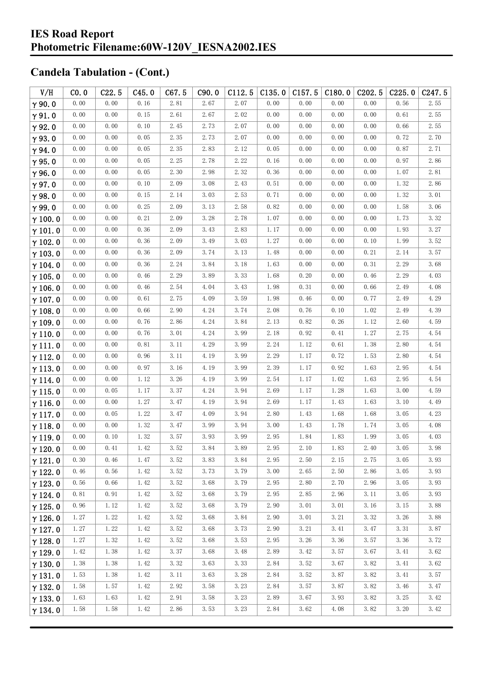| V/H            | CO.0 | C22.5 | C45.0 | C67.5               | C90.0                | C112.5               | C135.0   | C157.5 | C180.0 | C <sub>2</sub> 02.5 | C225.0 | C247.5 |
|----------------|------|-------|-------|---------------------|----------------------|----------------------|----------|--------|--------|---------------------|--------|--------|
| $\gamma$ 90.0  | 0.00 | 0.00  | 0.16  | 2.81                | 2.67                 | 2.07                 | 0.00     | 0.00   | 0.00   | 0.00                | 0.56   | 2.55   |
| $\gamma$ 91.0  | 0.00 | 0.00  | 0.15  | 2.61                | 2.67                 | 2.02                 | 0.00     | 0.00   | 0.00   | 0.00                | 0.61   | 2.55   |
| $\gamma$ 92.0  | 0.00 | 0.00  | 0.10  | 2.45                | 2.73                 | 2.07                 | 0.00     | 0.00   | 0.00   | 0.00                | 0.66   | 2.55   |
| $\gamma$ 93.0  | 0.00 | 0.00  | 0.05  | 2.35                | 2.73                 | 2.07                 | 0.00     | 0.00   | 0.00   | 0.00                | 0.72   | 2.70   |
| $\gamma$ 94.0  | 0.00 | 0.00  | 0.05  | 2.35                | 2.83                 | 2.12                 | 0.05     | 0.00   | 0.00   | 0.00                | 0.87   | 2.71   |
| $\gamma$ 95.0  | 0.00 | 0.00  | 0.05  | 2.25                | 2.78                 | 2.22                 | 0.16     | 0.00   | 0.00   | 0.00                | 0.97   | 2.86   |
| $\gamma$ 96.0  | 0.00 | 0.00  | 0.05  | 2.30                | 2.98                 | 2.32                 | 0.36     | 0.00   | 0.00   | 0.00                | 1.07   | 2.81   |
| $\gamma$ 97.0  | 0.00 | 0.00  | 0.10  | 2.09                | 3.08                 | 2.43                 | 0.51     | 0.00   | 0.00   | 0.00                | 1.32   | 2.86   |
| $\gamma$ 98.0  | 0.00 | 0.00  | 0.15  | 2.14                | 3.03                 | 2.53                 | 0.71     | 0.00   | 0.00   | 0.00                | 1.32   | 3.01   |
| $\gamma$ 99.0  | 0.00 | 0.00  | 0.25  | 2.09                | 3.13                 | 2.58                 | 0.82     | 0.00   | 0.00   | 0.00                | 1.58   | 3.06   |
| $\gamma$ 100.0 | 0.00 | 0.00  | 0.21  | 2.09                | 3.28                 | 2.78                 | 1.07     | 0.00   | 0.00   | 0.00                | 1.73   | 3.32   |
| $\gamma$ 101.0 | 0.00 | 0.00  | 0.36  | 2.09                | 3.43                 | 2.83                 | 1.17     | 0.00   | 0.00   | 0.00                | 1.93   | 3.27   |
| $\gamma$ 102.0 | 0.00 | 0.00  | 0.36  | 2.09                | 3.49                 | 3.03                 | 1.27     | 0.00   | 0.00   | 0.10                | 1.99   | 3.52   |
| $\gamma$ 103.0 | 0.00 | 0.00  | 0.36  | 2.09                | 3.74                 | 3.13                 | 1.48     | 0.00   | 0.00   | 0.21                | 2.14   | 3.57   |
| $\gamma$ 104.0 | 0.00 | 0.00  | 0.36  | 2.24                | 3.84                 | 3.18                 | 1.63     | 0.00   | 0.00   | 0.31                | 2.29   | 3.68   |
| $\gamma$ 105.0 | 0.00 | 0.00  | 0.46  | 2.29                | 3.89                 | 3.33                 | 1.68     | 0.20   | 0.00   | 0.46                | 2.29   | 4.03   |
| $\gamma$ 106.0 | 0.00 | 0.00  | 0.46  | 2.54                | 4.04                 | 3.43                 | 1.98     | 0.31   | 0.00   | 0.66                | 2.49   | 4.08   |
| $\gamma$ 107.0 | 0.00 | 0.00  | 0.61  | 2.75                | 4.09                 | 3.59                 | 1.98     | 0.46   | 0.00   | 0.77                | 2.49   | 4.29   |
| $\gamma$ 108.0 | 0.00 | 0.00  | 0.66  | 2.90                | 4.24                 | 3.74                 | 2.08     | 0.76   | 0.10   | 1.02                | 2.49   | 4.39   |
| $\gamma$ 109.0 | 0.00 | 0.00  | 0.76  | 2.86                | 4.24                 | 3.84                 | 2.13     | 0.82   | 0.26   | 1.12                | 2.60   | 4.59   |
| $\gamma$ 110.0 | 0.00 | 0.00  | 0.76  | 3.01                | 4.24                 | 3.99                 | 2.18     | 0.92   | 0.41   | 1.27                | 2.75   | 4.54   |
| $\gamma$ 111.0 | 0.00 | 0.00  | 0.81  | 3.11                | 4.29                 | 3.99                 | 2.24     | 1.12   | 0.61   | 1.38                | 2.80   | 4.54   |
| $\gamma$ 112.0 | 0.00 | 0.00  | 0.96  | 3.11                | 4.19                 | 3.99                 | 2.29     | 1.17   | 0.72   | 1.53                | 2.80   | 4.54   |
| $\gamma$ 113.0 | 0.00 | 0.00  | 0.97  | 3.16                | 4.19                 | 3.99                 | 2.39     | 1.17   | 0.92   | 1.63                | 2.95   | 4.54   |
| $\gamma$ 114.0 | 0.00 | 0.00  | 1.12  | 3.26                | 4.19                 | 3.99                 | 2.54     | 1.17   | 1.02   | 1.63                | 2.95   | 4.54   |
| $\gamma$ 115.0 | 0.00 | 0.05  | 1.17  | 3.37                | 4.24                 | 3.94                 | 2.69     | 1.17   | 1.28   | 1.63                | 3.00   | 4.59   |
| $\gamma$ 116.0 | 0.00 | 0.00  | 1.27  | $3.\,47$            | 4.19                 | 3.94                 | 2.69     | 1.17   | 1.43   | 1.63                | 3.10   | 4.49   |
| $\gamma$ 117.0 | 0.00 | 0.05  | 1.22  | 3.47                | 4.09                 | 3.94                 | 2.80     | 1.43   | 1.68   | 1.68                | 3.05   | 4.23   |
| $\gamma$ 118.0 | 0.00 | 0.00  | 1.32  | 3.47                | 3.99                 | 3.94                 | 3.00     | 1.43   | 1.78   | 1.74                | 3.05   | 4.08   |
| $\gamma$ 119.0 | 0.00 | 0.10  | 1.32  | 3.57                | 3.93                 | 3.99                 | 2.95     | 1.84   | 1.83   | 1.99                | 3.05   | 4.03   |
| $\gamma$ 120.0 | 0.00 | 0.41  | 1.42  | $3.\,\allowbreak52$ | $3.\,\allowbreak 84$ | $3.\,\allowbreak 89$ | $2.\,95$ | 2.10   | 1.83   | 2.40                | 3.05   | 3.98   |
| $\gamma$ 121.0 | 0.30 | 0.46  | 1.47  | 3.52                | 3.83                 | 3.84                 | 2.95     | 2.50   | 2.15   | 2.75                | 3.05   | 3.93   |
| $\gamma$ 122.0 | 0.46 | 0.56  | 1.42  | 3.52                | 3.73                 | 3.79                 | 3.00     | 2.65   | 2.50   | 2.86                | 3.05   | 3.93   |
| $\gamma$ 123.0 | 0.56 | 0.66  | 1.42  | 3.52                | 3.68                 | 3.79                 | 2.95     | 2.80   | 2.70   | 2.96                | 3.05   | 3.93   |
| $\gamma$ 124.0 | 0.81 | 0.91  | 1.42  | 3.52                | 3.68                 | 3.79                 | 2.95     | 2.85   | 2.96   | 3.11                | 3.05   | 3.93   |
| $\gamma$ 125.0 | 0.96 | 1.12  | 1.42  | 3.52                | 3.68                 | 3.79                 | 2.90     | 3.01   | 3.01   | 3.16                | 3.15   | 3.88   |
| $\gamma$ 126.0 | 1.27 | 1.22  | 1.42  | 3.52                | 3.68                 | 3.84                 | 2.90     | 3.01   | 3.21   | 3.32                | 3.26   | 3.88   |
| $\gamma$ 127.0 | 1.27 | 1.22  | 1.42  | 3.52                | 3.68                 | 3.73                 | 2.90     | 3.21   | 3.41   | 3.47                | 3.31   | 3.87   |
| $\gamma$ 128.0 | 1.27 | 1.32  | 1.42  | 3.52                | 3.68                 | 3.53                 | 2.95     | 3.26   | 3.36   | 3.57                | 3.36   | 3.72   |
| $\gamma$ 129.0 | 1.42 | 1.38  | 1.42  | 3.37                | 3.68                 | 3.48                 | 2.89     | 3.42   | 3.57   | 3.67                | 3.41   | 3.62   |
| $\gamma$ 130.0 | 1.38 | 1.38  | 1.42  | 3.32                | 3.63                 | 3.33                 | 2.84     | 3.52   | 3.67   | 3.82                | 3.41   | 3.62   |
| $\gamma$ 131.0 | 1.53 | 1.38  | 1.42  | 3.11                | 3.63                 | 3.28                 | 2.84     | 3.52   | 3.87   | 3.82                | 3.41   | 3.57   |
| $\gamma$ 132.0 | 1.58 | 1.57  | 1.42  | 2.92                | 3.58                 | 3.23                 | 2.84     | 3.57   | 3.87   | 3.82                | 3.46   | 3.47   |
| $\gamma$ 133.0 | 1.63 | 1.63  | 1.42  | 2.91                | 3.58                 | 3.23                 | 2.89     | 3.67   | 3.93   | 3.82                | 3.25   | 3.42   |
| $\gamma$ 134.0 | 1.58 | 1.58  | 1.42  | 2.86                | 3.53                 | 3.23                 | 2.84     | 3.62   | 4.08   | 3.82                | 3.20   | 3.42   |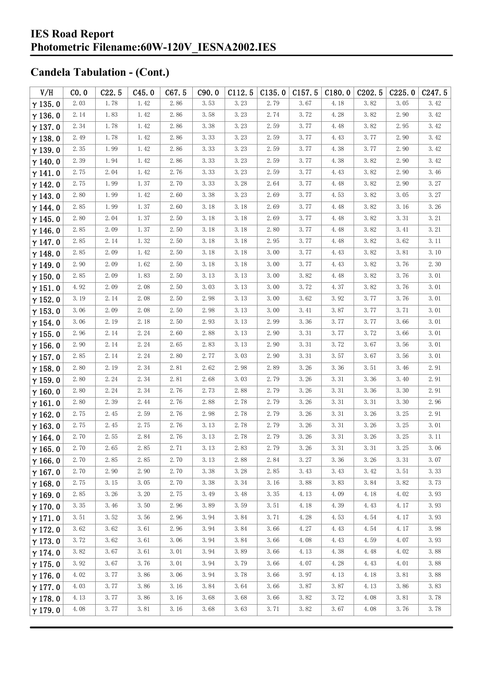| V/H            | CO.0 | C22.5 | C45.0 | C67.5 | C90.0 | C112.5 | C135.0 | C157.5               | C180.0 | C <sub>2</sub> 02.5 | C225.0   | C247.5 |
|----------------|------|-------|-------|-------|-------|--------|--------|----------------------|--------|---------------------|----------|--------|
| $\gamma$ 135.0 | 2.03 | 1.78  | 1.42  | 2.86  | 3.53  | 3.23   | 2.79   | 3.67                 | 4.18   | 3.82                | 3.05     | 3.42   |
| $\gamma$ 136.0 | 2.14 | 1.83  | 1.42  | 2.86  | 3.58  | 3.23   | 2.74   | 3.72                 | 4.28   | 3.82                | 2.90     | 3.42   |
| $\gamma$ 137.0 | 2.34 | 1.78  | 1.42  | 2.86  | 3.38  | 3.23   | 2.59   | 3.77                 | 4.48   | 3.82                | 2.95     | 3.42   |
| $\gamma$ 138.0 | 2.49 | 1.78  | 1.42  | 2.86  | 3.33  | 3.23   | 2.59   | 3.77                 | 4.43   | 3.77                | 2.90     | 3.42   |
| $\gamma$ 139.0 | 2.35 | 1.99  | 1.42  | 2.86  | 3.33  | 3.23   | 2.59   | 3.77                 | 4.38   | 3.77                | 2.90     | 3.42   |
| $\gamma$ 140.0 | 2.39 | 1.94  | 1.42  | 2.86  | 3.33  | 3.23   | 2.59   | 3.77                 | 4.38   | 3.82                | 2.90     | 3.42   |
| $\gamma$ 141.0 | 2.75 | 2.04  | 1.42  | 2.76  | 3.33  | 3.23   | 2.59   | 3.77                 | 4.43   | 3.82                | 2.90     | 3.46   |
| $\gamma$ 142.0 | 2.75 | 1.99  | 1.37  | 2.70  | 3.33  | 3.28   | 2.64   | 3.77                 | 4.48   | 3.82                | 2.90     | 3.27   |
| $\gamma$ 143.0 | 2.80 | 1.99  | 1.42  | 2.60  | 3.38  | 3.23   | 2.69   | 3.77                 | 4.53   | 3.82                | 3.05     | 3.27   |
| $\gamma$ 144.0 | 2.85 | 1.99  | 1.37  | 2.60  | 3.18  | 3.18   | 2.69   | 3.77                 | 4.48   | 3.82                | 3.16     | 3.26   |
| $\gamma$ 145.0 | 2.80 | 2.04  | 1.37  | 2.50  | 3.18  | 3.18   | 2.69   | 3.77                 | 4.48   | 3.82                | 3.31     | 3.21   |
| $\gamma$ 146.0 | 2.85 | 2.09  | 1.37  | 2.50  | 3.18  | 3.18   | 2.80   | 3.77                 | 4.48   | 3.82                | 3.41     | 3.21   |
| $\gamma$ 147.0 | 2.85 | 2.14  | 1.32  | 2.50  | 3.18  | 3.18   | 2.95   | 3.77                 | 4.48   | 3.82                | 3.62     | 3.11   |
| $\gamma$ 148.0 | 2.85 | 2.09  | 1.42  | 2.50  | 3.18  | 3.18   | 3.00   | 3.77                 | 4.43   | 3.82                | 3.81     | 3.10   |
| $\gamma$ 149.0 | 2.90 | 2.09  | 1.62  | 2.50  | 3.18  | 3.18   | 3.00   | 3.77                 | 4.43   | 3.82                | 3.76     | 2.30   |
| $\gamma$ 150.0 | 2.85 | 2.09  | 1.83  | 2.50  | 3.13  | 3.13   | 3.00   | $3.\,\allowbreak 82$ | 4.48   | 3.82                | 3.76     | 3.01   |
| $\gamma$ 151.0 | 4.92 | 2.09  | 2.08  | 2.50  | 3.03  | 3.13   | 3.00   | 3.72                 | 4.37   | 3.82                | 3.76     | 3.01   |
| $\gamma$ 152.0 | 3.19 | 2.14  | 2.08  | 2.50  | 2.98  | 3.13   | 3.00   | 3.62                 | 3.92   | 3.77                | 3.76     | 3.01   |
| $\gamma$ 153.0 | 3.06 | 2.09  | 2.08  | 2.50  | 2.98  | 3.13   | 3.00   | 3.41                 | 3.87   | 3.77                | 3.71     | 3.01   |
| $\gamma$ 154.0 | 3.06 | 2.19  | 2.18  | 2.50  | 2.93  | 3.13   | 2.99   | 3.36                 | 3.77   | 3.77                | 3.66     | 3.01   |
| $\gamma$ 155.0 | 2.96 | 2.14  | 2.24  | 2.60  | 2.88  | 3.13   | 2.90   | 3.31                 | 3.77   | 3.72                | 3.66     | 3.01   |
| $\gamma$ 156.0 | 2.90 | 2.14  | 2.24  | 2.65  | 2.83  | 3.13   | 2.90   | 3.31                 | 3.72   | 3.67                | 3.56     | 3.01   |
| $\gamma$ 157.0 | 2.85 | 2.14  | 2.24  | 2.80  | 2.77  | 3.03   | 2.90   | 3.31                 | 3.57   | 3.67                | 3.56     | 3.01   |
| $\gamma$ 158.0 | 2.80 | 2.19  | 2.34  | 2.81  | 2.62  | 2.98   | 2.89   | 3.26                 | 3.36   | 3.51                | 3.46     | 2.91   |
| $\gamma$ 159.0 | 2.80 | 2.24  | 2.34  | 2.81  | 2.68  | 3.03   | 2.79   | 3.26                 | 3.31   | 3.36                | 3.40     | 2.91   |
| $\gamma$ 160.0 | 2.80 | 2.24  | 2.34  | 2.76  | 2.73  | 2.88   | 2.79   | 3.26                 | 3.31   | 3.36                | 3.30     | 2.91   |
| $\gamma$ 161.0 | 2.80 | 2.39  | 2.44  | 2.76  | 2.88  | 2.78   | 2.79   | 3.26                 | 3.31   | 3.31                | 3.30     | 2.96   |
| $\gamma$ 162.0 | 2.75 | 2.45  | 2.59  | 2.76  | 2.98  | 2.78   | 2.79   | 3.26                 | 3.31   | 3.26                | 3.25     | 2.91   |
| $\gamma$ 163.0 | 2.75 | 2.45  | 2.75  | 2.76  | 3.13  | 2.78   | 2.79   | 3.26                 | 3.31   | 3.26                | 3.25     | 3.01   |
| $\gamma$ 164.0 | 2.70 | 2.55  | 2.84  | 2.76  | 3.13  | 2.78   | 2.79   | 3.26                 | 3.31   | 3.26                | 3.25     | 3.11   |
| $\gamma$ 165.0 | 2.70 | 2.65  | 2.85  | 2.71  | 3.13  | 2.83   | 2.79   | 3.26                 | 3.31   | $3.\,31$            | $3.\,25$ | 3.06   |
| $\gamma$ 166.0 | 2.70 | 2.85  | 2.85  | 2.70  | 3.13  | 2.88   | 2.84   | 3.27                 | 3.36   | 3.26                | 3.31     | 3.07   |
| $\gamma$ 167.0 | 2.70 | 2.90  | 2.90  | 2.70  | 3.38  | 3.28   | 2.85   | 3.43                 | 3.43   | 3.42                | 3.51     | 3.33   |
| $\gamma$ 168.0 | 2.75 | 3.15  | 3.05  | 2.70  | 3.38  | 3.34   | 3.16   | 3.88                 | 3.83   | 3.84                | 3.82     | 3.73   |
| $\gamma$ 169.0 | 2.85 | 3.26  | 3.20  | 2.75  | 3.49  | 3.48   | 3.35   | 4.13                 | 4.09   | 4.18                | 4.02     | 3.93   |
| $\gamma$ 170.0 | 3.35 | 3.46  | 3.50  | 2.96  | 3.89  | 3.59   | 3.51   | 4.18                 | 4.39   | 4.43                | 4.17     | 3.93   |
| $\gamma$ 171.0 | 3.51 | 3.52  | 3.56  | 2.96  | 3.94  | 3.84   | 3.71   | 4.28                 | 4.53   | 4.54                | 4.17     | 3.93   |
| $\gamma$ 172.0 | 3.62 | 3.62  | 3.61  | 2.96  | 3.94  | 3.84   | 3.66   | 4.27                 | 4.43   | 4.54                | 4.17     | 3.98   |
| $\gamma$ 173.0 | 3.72 | 3.62  | 3.61  | 3.06  | 3.94  | 3.84   | 3.66   | 4.08                 | 4.43   | 4.59                | 4.07     | 3.93   |
| $\gamma$ 174.0 | 3.82 | 3.67  | 3.61  | 3.01  | 3.94  | 3.89   | 3.66   | 4.13                 | 4.38   | 4.48                | 4.02     | 3.88   |
| $\gamma$ 175.0 | 3.92 | 3.67  | 3.76  | 3.01  | 3.94  | 3.79   | 3.66   | 4.07                 | 4.28   | 4.43                | 4.01     | 3.88   |
| $\gamma$ 176.0 | 4.02 | 3.77  | 3.86  | 3.06  | 3.94  | 3.78   | 3.66   | 3.97                 | 4.13   | 4.18                | 3.81     | 3.88   |
| $\gamma$ 177.0 | 4.03 | 3.77  | 3.86  | 3.16  | 3.84  | 3.64   | 3.66   | 3.87                 | 3.87   | 4.13                | 3.86     | 3.83   |
| $\gamma$ 178.0 | 4.13 | 3.77  | 3.86  | 3.16  | 3.68  | 3.68   | 3.66   | 3.82                 | 3.72   | 4.08                | 3.81     | 3.78   |
| $\gamma$ 179.0 | 4.08 | 3.77  | 3.81  | 3.16  | 3.68  | 3.63   | 3.71   | 3.82                 | 3.67   | 4.08                | 3.76     | 3.78   |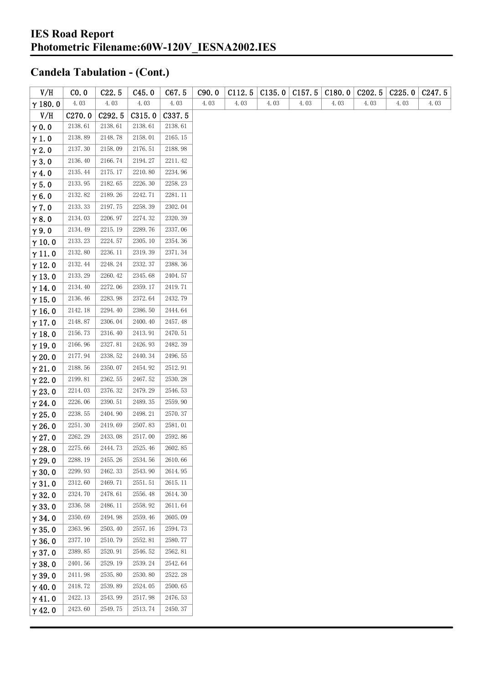| V/H            | CO. 0   | C22.5   | C45.0   | C67.5   | C90.0 | C112.5 | C135.0 | C157.5 | C180.0 | C <sub>2</sub> 02.5 | C225.0 | C <sub>247.5</sub> |
|----------------|---------|---------|---------|---------|-------|--------|--------|--------|--------|---------------------|--------|--------------------|
| $\gamma$ 180.0 | 4.03    | 4.03    | 4.03    | 4.03    | 4.03  | 4.03   | 4.03   | 4.03   | 4.03   | 4.03                | 4.03   | 4.03               |
| V/H            | C270.0  | C292.5  | C315.0  | C337.5  |       |        |        |        |        |                     |        |                    |
| $\gamma$ 0.0   | 2138.61 | 2138.61 | 2138.61 | 2138.61 |       |        |        |        |        |                     |        |                    |
| $\gamma$ 1.0   | 2138.89 | 2148.78 | 2158.01 | 2165.15 |       |        |        |        |        |                     |        |                    |
| $\gamma$ 2.0   | 2137.30 | 2158.09 | 2176.51 | 2188.98 |       |        |        |        |        |                     |        |                    |
| $\gamma$ 3.0   | 2136.40 | 2166.74 | 2194.27 | 2211.42 |       |        |        |        |        |                     |        |                    |
| $\gamma$ 4.0   | 2135.44 | 2175.17 | 2210.80 | 2234.96 |       |        |        |        |        |                     |        |                    |
| $\gamma$ 5.0   | 2133.95 | 2182.65 | 2226.30 | 2258.23 |       |        |        |        |        |                     |        |                    |
| $\gamma$ 6.0   | 2132.82 | 2189.26 | 2242.71 | 2281.11 |       |        |        |        |        |                     |        |                    |
| $\gamma$ 7.0   | 2133.33 | 2197.75 | 2258.39 | 2302.04 |       |        |        |        |        |                     |        |                    |
| $\gamma$ 8.0   | 2134.03 | 2206.97 | 2274.32 | 2320.39 |       |        |        |        |        |                     |        |                    |
| $\gamma$ 9.0   | 2134.49 | 2215.19 | 2289.76 | 2337.06 |       |        |        |        |        |                     |        |                    |
| $\gamma$ 10.0  | 2133.23 | 2224.57 | 2305.10 | 2354.36 |       |        |        |        |        |                     |        |                    |
| $\gamma$ 11.0  | 2132.80 | 2236.11 | 2319.39 | 2371.34 |       |        |        |        |        |                     |        |                    |
| $\gamma$ 12.0  | 2132.44 | 2248.24 | 2332.37 | 2388.36 |       |        |        |        |        |                     |        |                    |
| $\gamma$ 13.0  | 2133.29 | 2260.42 | 2345.68 | 2404.57 |       |        |        |        |        |                     |        |                    |
| $\gamma$ 14.0  | 2134.40 | 2272.06 | 2359.17 | 2419.71 |       |        |        |        |        |                     |        |                    |
| $\gamma$ 15.0  | 2136.46 | 2283.98 | 2372.64 | 2432.79 |       |        |        |        |        |                     |        |                    |
| $\gamma$ 16.0  | 2142.18 | 2294.40 | 2386.50 | 2444.64 |       |        |        |        |        |                     |        |                    |
| $\gamma$ 17.0  | 2148.87 | 2306.04 | 2400.40 | 2457.48 |       |        |        |        |        |                     |        |                    |
| $\gamma$ 18.0  | 2156.73 | 2316.40 | 2413.91 | 2470.51 |       |        |        |        |        |                     |        |                    |
| $\gamma$ 19.0  | 2166.96 | 2327.81 | 2426.93 | 2482.39 |       |        |        |        |        |                     |        |                    |
| $\gamma$ 20.0  | 2177.94 | 2338.52 | 2440.34 | 2496.55 |       |        |        |        |        |                     |        |                    |
| $\gamma$ 21.0  | 2188.56 | 2350.07 | 2454.92 | 2512.91 |       |        |        |        |        |                     |        |                    |
| $\gamma$ 22.0  | 2199.81 | 2362.55 | 2467.52 | 2530.28 |       |        |        |        |        |                     |        |                    |
| $\gamma$ 23.0  | 2214.03 | 2376.32 | 2479.29 | 2546.53 |       |        |        |        |        |                     |        |                    |
| $\gamma$ 24.0  | 2226.06 | 2390.51 | 2489.35 | 2559.90 |       |        |        |        |        |                     |        |                    |
| $\gamma$ 25.0  | 2238.55 | 2404.90 | 2498.21 | 2570.37 |       |        |        |        |        |                     |        |                    |
| $\gamma$ 26.0  | 2251.30 | 2419.69 | 2507.83 | 2581.01 |       |        |        |        |        |                     |        |                    |
| $\gamma$ 27.0  | 2262.29 | 2433.08 | 2517.00 | 2592.86 |       |        |        |        |        |                     |        |                    |
| $\gamma$ 28.0  | 2275.66 | 2444.73 | 2525.46 | 2602.85 |       |        |        |        |        |                     |        |                    |
| $\gamma$ 29.0  | 2288.19 | 2455.26 | 2534.56 | 2610.66 |       |        |        |        |        |                     |        |                    |
| $\gamma$ 30.0  | 2299.93 | 2462.33 | 2543.90 | 2614.95 |       |        |        |        |        |                     |        |                    |
| $\gamma$ 31.0  | 2312.60 | 2469.71 | 2551.51 | 2615.11 |       |        |        |        |        |                     |        |                    |
| $\gamma$ 32.0  | 2324.70 | 2478.61 | 2556.48 | 2614.30 |       |        |        |        |        |                     |        |                    |
| $\gamma$ 33.0  | 2336.58 | 2486.11 | 2558.92 | 2611.64 |       |        |        |        |        |                     |        |                    |
| $\gamma$ 34.0  | 2350.69 | 2494.98 | 2559.46 | 2605.09 |       |        |        |        |        |                     |        |                    |
| $\gamma$ 35.0  | 2363.96 | 2503.40 | 2557.16 | 2594.73 |       |        |        |        |        |                     |        |                    |
| $\gamma$ 36.0  | 2377.10 | 2510.79 | 2552.81 | 2580.77 |       |        |        |        |        |                     |        |                    |
| $\gamma$ 37.0  | 2389.85 | 2520.91 | 2546.52 | 2562.81 |       |        |        |        |        |                     |        |                    |
| $\gamma$ 38.0  | 2401.56 | 2529.19 | 2539.24 | 2542.64 |       |        |        |        |        |                     |        |                    |
| $\gamma$ 39.0  | 2411.98 | 2535.80 | 2530.80 | 2522.28 |       |        |        |        |        |                     |        |                    |
| $\gamma$ 40.0  | 2418.72 | 2539.89 | 2524.05 | 2500.65 |       |        |        |        |        |                     |        |                    |
| $\gamma$ 41.0  | 2422.13 | 2543.99 | 2517.98 | 2476.53 |       |        |        |        |        |                     |        |                    |
| $\gamma$ 42.0  | 2423.60 | 2549.75 | 2513.74 | 2450.37 |       |        |        |        |        |                     |        |                    |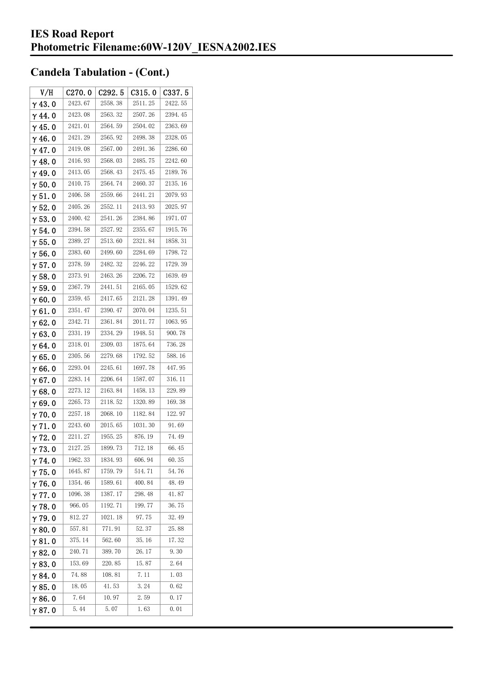| V/H            | C270.0  | C <sub>292.5</sub> | C315.0  | C337.5  |
|----------------|---------|--------------------|---------|---------|
| $\gamma$ 43.0  | 2423.67 | 2558.38            | 2511.25 | 2422.55 |
| $\gamma$ 44.0  | 2423.08 | 2563.32            | 2507.26 | 2394.45 |
| $\gamma$ 45.0  | 2421.01 | 2564.59            | 2504.02 | 2363.69 |
| $\gamma$ 46.0  | 2421.29 | 2565.92            | 2498.38 | 2328.05 |
| $\gamma$ 47.0  | 2419.08 | 2567.00            | 2491.36 | 2286.60 |
| $\gamma$ 48.0  | 2416.93 | 2568.03            | 2485.75 | 2242.60 |
| $\gamma$ 49.0  | 2413.05 | 2568.43            | 2475.45 | 2189.76 |
| $\gamma$ 50.0  | 2410.75 | 2564.74            | 2460.37 | 2135.16 |
| $\gamma$ 51. 0 | 2406.58 | 2559.66            | 2441.21 | 2079.93 |
| $\gamma$ 52.0  | 2405.26 | 2552.11            | 2413.93 | 2025.97 |
| $\gamma$ 53.0  | 2400.42 | 2541.26            | 2384.86 | 1971.07 |
| $\gamma$ 54. 0 | 2394.58 | 2527.92            | 2355.67 | 1915.76 |
| $\gamma$ 55. 0 | 2389.27 | 2513.60            | 2321.84 | 1858.31 |
| $\gamma$ 56. 0 | 2383.60 | 2499.60            | 2284.69 | 1798.72 |
| $\gamma$ 57.0  | 2378.59 | 2482.32            | 2246.22 | 1729.39 |
| $\gamma$ 58.0  | 2373.91 | 2463.26            | 2206.72 | 1639.49 |
| $\gamma$ 59.0  | 2367.79 | 2441.51            | 2165.05 | 1529.62 |
| γ60.0          | 2359.45 | 2417.65            | 2121.28 | 1391.49 |
| $\gamma$ 61.0  | 2351.47 | 2390.47            | 2070.04 | 1235.51 |
| $\gamma$ 62.0  | 2342.71 | 2361.84            | 2011.77 | 1063.95 |
| $\gamma$ 63.0  | 2331.19 | 2334. 29           | 1948.51 | 900.78  |
| γ64.0          | 2318.01 | 2309.03            | 1875.64 | 736.28  |
| $\gamma$ 65.0  | 2305.56 | 2279.68            | 1792.52 | 588.16  |
| γ66.0          | 2293.04 | 2245.61            | 1697.78 | 447.95  |
| $\gamma$ 67. 0 | 2283.14 | 2206.64            | 1587.07 | 316.11  |
| $\gamma$ 68.0  | 2273.12 | 2163.84            | 1458.13 | 229.89  |
| $\gamma$ 69.0  | 2265.73 | 2118.52            | 1320.89 | 169.38  |
| $\gamma$ 70.0  | 2257.18 | 2068.10            | 1182.84 | 122.97  |
| $\gamma$ 71.0  | 2243.60 | 2015.65            | 1031.30 | 91.69   |
| $\gamma$ 72. 0 | 2211.27 | 1955.25            | 876.19  | 74.49   |
| $\gamma$ 73. 0 | 2127.25 | 1899.73            | 712.18  | 66.45   |
| $\gamma$ 74.0  | 1962.33 | 1834.93            | 606.94  | 60.35   |
| $\gamma$ 75.0  | 1645.87 | 1759.79            | 514.71  | 54.76   |
| $\gamma$ 76.0  | 1354.46 | 1589.61            | 400.84  | 48.49   |
| $\gamma$ 77.0  | 1096.38 | 1387.17            | 298.48  | 41.87   |
| $\gamma$ 78.0  | 966.05  | 1192.71            | 199.77  | 36.75   |
| $\gamma$ 79.0  | 812.27  | 1021.18            | 97.75   | 32.49   |
| $\gamma$ 80.0  | 557.81  | 771.91             | 52.37   | 25.88   |
| $\gamma$ 81.0  | 375.14  | 562.60             | 35.16   | 17.32   |
| $\gamma$ 82.0  | 240.71  | 389.70             | 26.17   | 9.30    |
| $\gamma$ 83.0  | 153.69  | 220.85             | 15.87   | 2.64    |
| $\gamma$ 84.0  | 74.88   | 108.81             | 7.11    | 1.03    |
| $\gamma$ 85.0  | 18.05   | 41.53              | 3.24    | 0.62    |
| $\gamma$ 86.0  | 7.64    | 10.97              | 2.59    | 0.17    |
| $\gamma$ 87. 0 | 5.44    | 5.07               | 1.63    | 0.01    |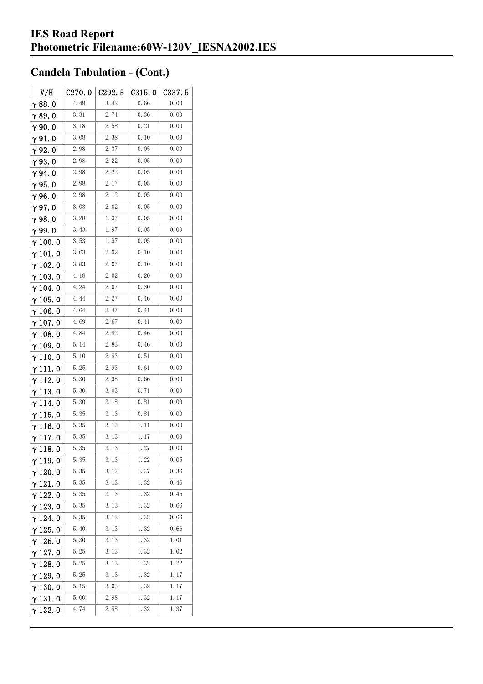| V/H             | C270.0 | C292.5 | C315.0 | C337.5 |
|-----------------|--------|--------|--------|--------|
| $\gamma$ 88.0   | 4.49   | 3.42   | 0.66   | 0.00   |
| $\gamma$ 89.0   | 3.31   | 2.74   | 0.36   | 0.00   |
| $\gamma$ 90. 0  | 3.18   | 2.58   | 0.21   | 0.00   |
| $\gamma$ 91.0   | 3.08   | 2.38   | 0.10   | 0.00   |
| γ92.0           | 2.98   | 2.37   | 0.05   | 0.00   |
| $\gamma$ 93. O  | 2.98   | 2.22   | 0.05   | 0.00   |
| $\gamma$ 94.0   | 2.98   | 2.22   | 0.05   | 0.00   |
| $\gamma$ 95.0   | 2.98   | 2.17   | 0.05   | 0.00   |
| γ96.0           | 2.98   | 2.12   | 0.05   | 0.00   |
| γ97.0           | 3.03   | 2.02   | 0.05   | 0.00   |
| $\gamma$ 98.0   | 3.28   | 1.97   | 0.05   | 0.00   |
| γ99.0           | 3.43   | 1.97   | 0.05   | 0.00   |
| $\gamma$ 100.0  | 3.53   | 1.97   | 0.05   | 0.00   |
| $\gamma$ 101.0  | 3.63   | 2.02   | 0.10   | 0.00   |
| $\gamma$ 102.0  | 3.83   | 2.07   | 0.10   | 0.00   |
| $\gamma$ 103. 0 | 4.18   | 2.02   | 0.20   | 0.00   |
| $\gamma$ 104. 0 | 4.24   | 2.07   | 0.30   | 0.00   |
| $\gamma$ 105. 0 | 4.44   | 2.27   | 0.46   | 0.00   |
| $\gamma$ 106.0  | 4.64   | 2.47   | 0.41   | 0.00   |
| $\gamma$ 107. 0 | 4.69   | 2.67   | 0.41   | 0.00   |
| $\gamma$ 108. 0 | 4.84   | 2.82   | 0.46   | 0.00   |
| $\gamma$ 109.0  | 5.14   | 2.83   | 0.46   | 0.00   |
| $\gamma$ 110. 0 | 5.10   | 2.83   | 0.51   | 0.00   |
| γ111.0          | 5.25   | 2.93   | 0.61   | 0.00   |
| γ112.0          | 5.30   | 2.98   | 0.66   | 0.00   |
| $\gamma$ 113. 0 | 5.30   | 3.03   | 0.71   | 0.00   |
| $\gamma$ 114.0  | 5.30   | 3. 18  | 0.81   | 0.00   |
| $\gamma$ 115. 0 | 5.35   | 3.13   | 0.81   | 0.00   |
| $\gamma$ 116. 0 | 5.35   | 3.13   | 1.11   | 0.00   |
| $\gamma$ 117.0  | 5.35   | 3.13   | 1.17   | 0.00   |
| $\gamma$ 118. 0 | 5.35   | 3. 13  | 1. 27  | 0.00   |
| $\gamma$ 119.0  | 5.35   | 3.13   | 1.22   | 0.05   |
| $\gamma$ 120.0  | 5.35   | 3.13   | 1.37   | 0.36   |
| $\gamma$ 121.0  | 5.35   | 3. 13  | 1.32   | 0.46   |
| $\gamma$ 122.0  | 5.35   | 3. 13  | 1.32   | 0.46   |
| $\gamma$ 123.0  | 5.35   | 3. 13  | 1.32   | 0.66   |
| $\gamma$ 124.0  | 5.35   | 3.13   | 1.32   | 0.66   |
| $\gamma$ 125.0  | 5.40   | 3.13   | 1.32   | 0.66   |
| $\gamma$ 126.0  | 5.30   | 3.13   | 1.32   | 1.01   |
| $\gamma$ 127. 0 | 5.25   | 3. 13  | 1.32   | 1.02   |
| $\gamma$ 128.0  | 5.25   | 3. 13  | 1.32   | 1.22   |
| $\gamma$ 129.0  | 5.25   | 3. 13  | 1.32   | 1.17   |
| $\gamma$ 130. 0 | 5.15   | 3.03   | 1.32   | 1.17   |
| $\gamma$ 131.0  | 5.00   | 2.98   | 1.32   | 1.17   |
| $\gamma$ 132. 0 | 4.74   | 2.88   | 1.32   | 1.37   |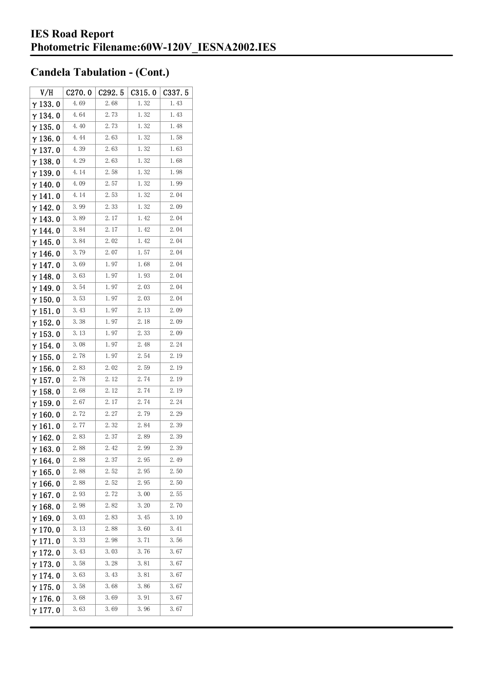| V/H             | C270.0 | C292.5 | C315.0 | C337.5 |
|-----------------|--------|--------|--------|--------|
| $\gamma$ 133.0  | 4.69   | 2.68   | 1.32   | 1.43   |
| $\gamma$ 134.0  | 4.64   | 2.73   | 1.32   | 1.43   |
| $\gamma$ 135.0  | 4.40   | 2.73   | 1.32   | 1.48   |
| $\gamma$ 136.0  | 4.44   | 2.63   | 1.32   | 1.58   |
| $\gamma$ 137.0  | 4.39   | 2.63   | 1.32   | 1.63   |
| $\gamma$ 138.0  | 4.29   | 2.63   | 1.32   | 1.68   |
| $\gamma$ 139. 0 | 4.14   | 2.58   | 1.32   | 1.98   |
| $\gamma$ 140.0  | 4.09   | 2.57   | 1.32   | 1.99   |
| $\gamma$ 141.0  | 4.14   | 2.53   | 1.32   | 2.04   |
| $\gamma$ 142.0  | 3.99   | 2.33   | 1.32   | 2.09   |
| $\gamma$ 143.0  | 3.89   | 2.17   | 1.42   | 2.04   |
| γ 144. 0        | 3.84   | 2.17   | 1.42   | 2.04   |
| $\gamma$ 145. 0 | 3.84   | 2.02   | 1.42   | 2.04   |
| $\gamma$ 146.0  | 3.79   | 2.07   | 1.57   | 2.04   |
| γ147.0          | 3.69   | 1.97   | 1.68   | 2.04   |
| $\gamma$ 148.0  | 3.63   | 1.97   | 1.93   | 2.04   |
| $\gamma$ 149. 0 | 3.54   | 1.97   | 2.03   | 2.04   |
| $\gamma$ 150. 0 | 3.53   | 1.97   | 2.03   | 2.04   |
| $\gamma$ 151.0  | 3.43   | 1.97   | 2.13   | 2.09   |
| $\gamma$ 152.0  | 3.38   | 1.97   | 2.18   | 2.09   |
| $\gamma$ 153. 0 | 3.13   | 1.97   | 2.33   | 2.09   |
| $\gamma$ 154. 0 | 3.08   | 1.97   | 2.48   | 2.24   |
| $\gamma$ 155. 0 | 2.78   | 1.97   | 2.54   | 2.19   |
| $\gamma$ 156. 0 | 2.83   | 2.02   | 2.59   | 2.19   |
| $\gamma$ 157. 0 | 2.78   | 2. 12  | 2.74   | 2.19   |
| $\gamma$ 158.0  | 2.68   | 2.12   | 2.74   | 2.19   |
| $\gamma$ 159.0  | 2.67   | 2.17   | 2.74   | 2.24   |
| $\gamma$ 160.0  | 2.72   | 2.27   | 2.79   | 2.29   |
| $\gamma$ 161. 0 | 2.77   | 2.32   | 2.84   | 2.39   |
| $\gamma$ 162.0  | 2.83   | 2.37   | 2.89   | 2.39   |
| $\gamma$ 163.0  | 2.88   | 2.42   | 2.99   | 2.39   |
| $\gamma$ 164.0  | 2.88   | 2.37   | 2.95   | 2.49   |
| $\gamma$ 165.0  | 2.88   | 2.52   | 2.95   | 2.50   |
| $\gamma$ 166.0  | 2.88   | 2.52   | 2.95   | 2.50   |
| $\gamma$ 167.0  | 2.93   | 2.72   | 3.00   | 2.55   |
| $\gamma$ 168.0  | 2.98   | 2.82   | 3.20   | 2.70   |
| γ169.0          | 3.03   | 2.83   | 3.45   | 3.10   |
| $\gamma$ 170.0  | 3.13   | 2.88   | 3.60   | 3.41   |
| $\gamma$ 171. 0 | 3.33   | 2.98   | 3.71   | 3.56   |
| $\gamma$ 172. 0 | 3.43   | 3.03   | 3.76   | 3.67   |
| $\gamma$ 173.0  | 3.58   | 3. 28  | 3.81   | 3.67   |
| γ 174. 0        | 3.63   | 3.43   | 3.81   | 3.67   |
| $\gamma$ 175.0  | 3.58   | 3.68   | 3.86   | 3.67   |
| γ176.0          | 3.68   | 3.69   | 3.91   | 3.67   |
| γ177.0          | 3.63   | 3.69   | 3.96   | 3.67   |